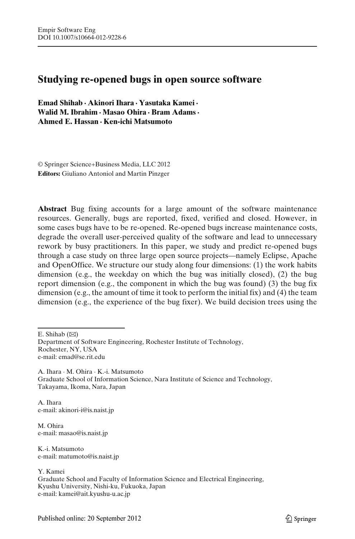# **Studying re-opened bugs in open source software**

**Emad Shihab · Akinori Ihara · Yasutaka Kamei· Walid M. Ibrahim · Masao Ohira · Bram Adams· Ahmed E. Hassan · Ken-ichi Matsumoto**

© Springer Science+Business Media, LLC 2012 **Editors:** Giuliano Antoniol and Martin Pinzger

**Abstract** Bug fixing accounts for a large amount of the software maintenance resources. Generally, bugs are reported, fixed, verified and closed. However, in some cases bugs have to be re-opened. Re-opened bugs increase maintenance costs, degrade the overall user-perceived quality of the software and lead to unnecessary rework by busy practitioners. In this paper, we study and predict re-opened bugs through a case study on three large open source projects—namely Eclipse, Apache and OpenOffice. We structure our study along four dimensions: (1) the work habits dimension (e.g., the weekday on which the bug was initially closed), (2) the bug report dimension (e.g., the component in which the bug was found) (3) the bug fix dimension (e.g., the amount of time it took to perform the initial fix) and (4) the team dimension (e.g., the experience of the bug fixer). We build decision trees using the

E. Shihab  $(\boxtimes)$ 

A. Ihara · M. Ohira · K.-i. Matsumoto Graduate School of Information Science, Nara Institute of Science and Technology, Takayama, Ikoma, Nara, Japan

A. Ihara e-mail: akinori-i@is.naist.jp

M. Ohira e-mail: masao@is.naist.jp

K.-i. Matsumoto e-mail: matumoto@is.naist.jp

Y. Kamei Graduate School and Faculty of Information Science and Electrical Engineering, Kyushu University, Nishi-ku, Fukuoka, Japan e-mail: kamei@ait.kyushu-u.ac.jp

Department of Software Engineering, Rochester Institute of Technology, Rochester, NY, USA e-mail: emad@se.rit.edu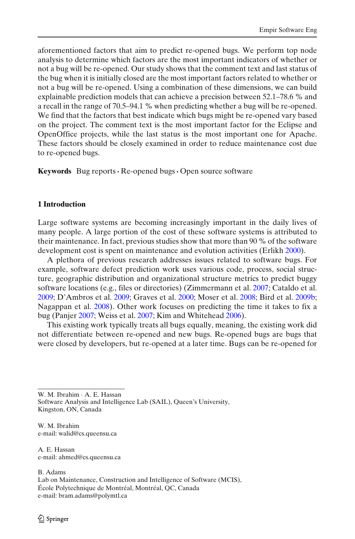aforementioned factors that aim to predict re-opened bugs. We perform top node analysis to determine which factors are the most important indicators of whether or not a bug will be re-opened. Our study shows that the comment text and last status of the bug when it is initially closed are the most important factors related to whether or not a bug will be re-opened. Using a combination of these dimensions, we can build explainable prediction models that can achieve a precision between 52.1–78.6 % and a recall in the range of 70.5–94.1 % when predicting whether a bug will be re-opened. We find that the factors that best indicate which bugs might be re-opened vary based on the project. The comment text is the most important factor for the Eclipse and OpenOffice projects, while the last status is the most important one for Apache. These factors should be closely examined in order to reduce maintenance cost due to re-opened bugs.

**Keywords** Bug reports**·** Re-opened bugs**·** Open source software

### **1 Introduction**

Large software systems are becoming increasingly important in the daily lives of many people. A large portion of the cost of these software systems is attributed to their maintenance. In fact, previous studies show that more than 90 % of the software development cost is spent on maintenance and evolution activities (Erlik[h](#page-31-0) [2000](#page-31-0)).

A plethora of previous research addresses issues related to software bugs. For example, software defect prediction work uses various code, process, social structure, geographic distribution and organizational structure metrics to predict buggy software locations (e.g., files or directories) (Zimmermann et al[.](#page-33-0) [2007](#page-33-0); Cataldo et al[.](#page-31-0) [2009;](#page-31-0) D'Ambros et al[.](#page-31-0) [2009](#page-31-0); Graves et al[.](#page-31-0) [2000;](#page-31-0) Moser et al[.](#page-32-0) [2008](#page-32-0); Bird et al[.](#page-31-0) [2009b](#page-31-0); Nagappan et al[.](#page-32-0) [2008\)](#page-32-0). Other work focuses on predicting the time it takes to fix a bug (Panje[r](#page-32-0) [2007](#page-32-0); Weiss et al[.](#page-33-0) [2007](#page-33-0); Kim and Whitehea[d](#page-32-0) [2006\)](#page-32-0).

This existing work typically treats all bugs equally, meaning, the existing work did not differentiate between re-opened and new bugs. Re-opened bugs are bugs that were closed by developers, but re-opened at a later time. Bugs can be re-opened for

W. M. Ibrahim · A. E. Hassan Software Analysis and Intelligence Lab (SAIL), Queen's University, Kingston, ON, Canada

W. M. Ibrahim e-mail: walid@cs.queensu.ca

A. E. Hassan e-mail: ahmed@cs.queensu.ca

B. Adams Lab on Maintenance, Construction and Intelligence of Software (MCIS), École Polytechnique de Montréal, Montréal, QC, Canada e-mail: bram.adams@polymtl.ca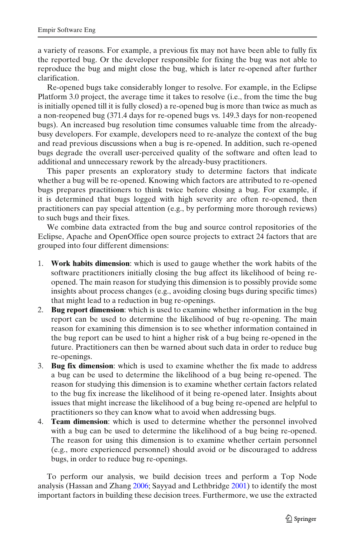a variety of reasons. For example, a previous fix may not have been able to fully fix the reported bug. Or the developer responsible for fixing the bug was not able to reproduce the bug and might close the bug, which is later re-opened after further clarification.

Re-opened bugs take considerably longer to resolve. For example, in the Eclipse Platform 3.0 project, the average time it takes to resolve (i.e., from the time the bug is initially opened till it is fully closed) a re-opened bug is more than twice as much as a non-reopened bug (371.4 days for re-opened bugs vs. 149.3 days for non-reopened bugs). An increased bug resolution time consumes valuable time from the alreadybusy developers. For example, developers need to re-analyze the context of the bug and read previous discussions when a bug is re-opened. In addition, such re-opened bugs degrade the overall user-perceived quality of the software and often lead to additional and unnecessary rework by the already-busy practitioners.

This paper presents an exploratory study to determine factors that indicate whether a bug will be re-opened. Knowing which factors are attributed to re-opened bugs prepares practitioners to think twice before closing a bug. For example, if it is determined that bugs logged with high severity are often re-opened, then practitioners can pay special attention (e.g., by performing more thorough reviews) to such bugs and their fixes.

We combine data extracted from the bug and source control repositories of the Eclipse, Apache and OpenOffice open source projects to extract 24 factors that are grouped into four different dimensions:

- 1. **Work habits dimension**: which is used to gauge whether the work habits of the software practitioners initially closing the bug affect its likelihood of being reopened. The main reason for studying this dimension is to possibly provide some insights about process changes (e.g., avoiding closing bugs during specific times) that might lead to a reduction in bug re-openings.
- 2. **Bug report dimension**: which is used to examine whether information in the bug report can be used to determine the likelihood of bug re-opening. The main reason for examining this dimension is to see whether information contained in the bug report can be used to hint a higher risk of a bug being re-opened in the future. Practitioners can then be warned about such data in order to reduce bug re-openings.
- 3. **Bug fix dimension**: which is used to examine whether the fix made to address a bug can be used to determine the likelihood of a bug being re-opened. The reason for studying this dimension is to examine whether certain factors related to the bug fix increase the likelihood of it being re-opened later. Insights about issues that might increase the likelihood of a bug being re-opened are helpful to practitioners so they can know what to avoid when addressing bugs.
- 4. **Team dimension**: which is used to determine whether the personnel involved with a bug can be used to determine the likelihood of a bug being re-opened. The reason for using this dimension is to examine whether certain personnel (e.g., more experienced personnel) should avoid or be discouraged to address bugs, in order to reduce bug re-openings.

To perform our analysis, we build decision trees and perform a Top Node analysis (Hassan and Zhan[g](#page-32-0) [2006;](#page-32-0) Sayyad and Lethbridg[e](#page-33-0) [2001\)](#page-33-0) to identify the most important factors in building these decision trees. Furthermore, we use the extracted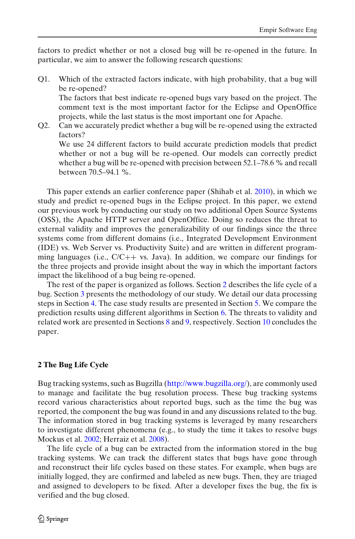factors to predict whether or not a closed bug will be re-opened in the future. In particular, we aim to answer the following research questions:

Q1. Which of the extracted factors indicate, with high probability, that a bug will be re-opened?

The factors that best indicate re-opened bugs vary based on the project. The comment text is the most important factor for the Eclipse and OpenOffice projects, while the last status is the most important one for Apache.

Q2. Can we accurately predict whether a bug will be re-opened using the extracted factors?

We use 24 different factors to build accurate prediction models that predict whether or not a bug will be re-opened. Our models can correctly predict whether a bug will be re-opened with precision between 52.1–78.6 % and recall between 70.5–94.1 %.

This paper extends an earlier conference paper (Shihab et al[.](#page-33-0) [2010](#page-33-0)), in which we study and predict re-opened bugs in the Eclipse project. In this paper, we extend our previous work by conducting our study on two additional Open Source Systems (OSS), the Apache HTTP server and OpenOffice. Doing so reduces the threat to external validity and improves the generalizability of our findings since the three systems come from different domains (i.e., Integrated Development Environment (IDE) vs. Web Server vs. Productivity Suite) and are written in different programming languages (i.e.,  $C/C++$  vs. Java). In addition, we compare our findings for the three projects and provide insight about the way in which the important factors impact the likelihood of a bug being re-opened.

The rest of the paper is organized as follows. Section 2 describes the life cycle of a bug. Section [3](#page-4-0) presents the methodology of our study. We detail our data processing steps in Section [4.](#page-11-0) The case study results are presented in Section [5.](#page-14-0) We compare the prediction results using different algorithms in Section [6.](#page-22-0) The threats to validity and related work are presented in Sections [8](#page-27-0) and [9,](#page-28-0) respectively. Section [10](#page-30-0) concludes the paper.

#### **2 The Bug Life Cycle**

Bug tracking systems, such as Bugzilla [\(http://www.bugzilla.org/\)](http://www.bugzilla.org/), are commonly used to manage and facilitate the bug resolution process. These bug tracking systems record various characteristics about reported bugs, such as the time the bug was reported, the component the bug was found in and any discussions related to the bug. The information stored in bug tracking systems is leveraged by many researchers to investigate different phenomena (e.g., to study the time it takes to resolve bugs Mockus et al[.](#page-32-0) [2002](#page-32-0); Herraiz et al[.](#page-32-0) [2008\)](#page-32-0).

The life cycle of a bug can be extracted from the information stored in the bug tracking systems. We can track the different states that bugs have gone through and reconstruct their life cycles based on these states. For example, when bugs are initially logged, they are confirmed and labeled as new bugs. Then, they are triaged and assigned to developers to be fixed. After a developer fixes the bug, the fix is verified and the bug closed.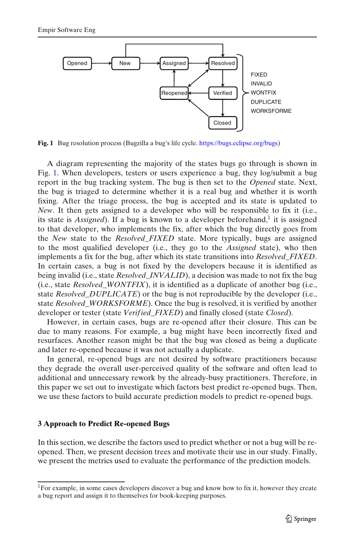<span id="page-4-0"></span>

**Fig. 1** Bug resolution process (Bugzilla a bug's life cycle. [https://bugs.eclipse.org/bugs\)](https://bugs.eclipse.org/bugs)

A diagram representing the majority of the states bugs go through is shown in Fig. 1. When developers, testers or users experience a bug, they log/submit a bug report in the bug tracking system. The bug is then set to the *Opened* state. Next, the bug is triaged to determine whether it is a real bug and whether it is worth fixing. After the triage process, the bug is accepted and its state is updated to *New*. It then gets assigned to a developer who will be responsible to fix it (i.e., its state is *Assigned*). If a bug is known to a developer beforehand,<sup>1</sup> it is assigned to that developer, who implements the fix, after which the bug directly goes from the *New* state to the *Resolved*\_*FIXED* state. More typically, bugs are assigned to the most qualified developer (i.e., they go to the *Assigned* state), who then implements a fix for the bug, after which its state transitions into *Resolved*\_*FIXED*. In certain cases, a bug is not fixed by the developers because it is identified as being invalid (i.e., state *Resolved*\_*INVALID*), a decision was made to not fix the bug (i.e., state *Resolved*\_*WONTFIX*), it is identified as a duplicate of another bug (i.e., state *Resolved*\_*DUPLICATE*) or the bug is not reproducible by the developer (i.e., state *Resolved*\_*WORKSFORME*). Once the bug is resolved, it is verified by another developer or tester (state *Verif ied*\_*FIXED*) and finally closed (state *Closed*).

However, in certain cases, bugs are re-opened after their closure. This can be due to many reasons. For example, a bug might have been incorrectly fixed and resurfaces. Another reason might be that the bug was closed as being a duplicate and later re-opened because it was not actually a duplicate.

In general, re-opened bugs are not desired by software practitioners because they degrade the overall user-perceived quality of the software and often lead to additional and unnecessary rework by the already-busy practitioners. Therefore, in this paper we set out to investigate which factors best predict re-opened bugs. Then, we use these factors to build accurate prediction models to predict re-opened bugs.

#### **3 Approach to Predict Re-opened Bugs**

In this section, we describe the factors used to predict whether or not a bug will be reopened. Then, we present decision trees and motivate their use in our study. Finally, we present the metrics used to evaluate the performance of the prediction models.

<sup>&</sup>lt;sup>1</sup>For example, in some cases developers discover a bug and know how to fix it, however they create a bug report and assign it to themselves for book-keeping purposes.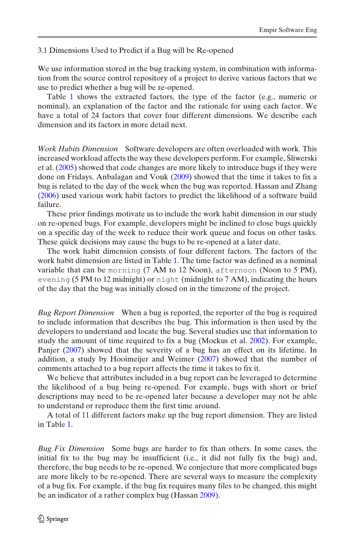### 3.1 Dimensions Used to Predict if a Bug will be Re-opened

We use information stored in the bug tracking system, in combination with information from the source control repository of a project to derive various factors that we use to predict whether a bug will be re-opened.

Table [1](#page-6-0) shows the extracted factors, the type of the factor (e.g., numeric or nominal), an explanation of the factor and the rationale for using each factor. We have a total of 24 factors that cover four different dimensions. We describe each dimension and its factors in more detail next.

*Work Habits Dimension* Software developers are often overloaded with work. This increased workload affects the way these developers perform. For example, Sliwerski ´ et al[.](#page-33-0) [\(2005\)](#page-33-0) showed that code changes are more likely to introduce bugs if they were done on Fridays. Anbalagan and Vou[k](#page-31-0) [\(2009](#page-31-0)) showed that the time it takes to fix a bug is related to the day of the week when the bug was reported. Hassan and Zhan[g](#page-32-0) [\(2006](#page-32-0)) used various work habit factors to predict the likelihood of a software build failure.

These prior findings motivate us to include the work habit dimension in our study on re-opened bugs. For example, developers might be inclined to close bugs quickly on a specific day of the week to reduce their work queue and focus on other tasks. These quick decisions may cause the bugs to be re-opened at a later date.

The work habit dimension consists of four different factors. The factors of the work habit dimension are listed in Table [1.](#page-6-0) The time factor was defined as a nominal variable that can be morning (7 AM to 12 Noon), afternoon (Noon to 5 PM), evening (5 PM to 12 midnight) or night (midnight to 7 AM), indicating the hours of the day that the bug was initially closed on in the timezone of the project.

*Bug Report Dimension* When a bug is reported, the reporter of the bug is required to include information that describes the bug. This information is then used by the developers to understand and locate the bug. Several studies use that information to study the amount of time required to fix a bug (Mockus et al[.](#page-32-0) [2002](#page-32-0)). For example, Panje[r](#page-32-0) [\(2007](#page-32-0)) showed that the severity of a bug has an effect on its lifetime. In addition, a study by Hooimeijer and Weime[r](#page-32-0) [\(2007](#page-32-0)) showed that the number of comments attached to a bug report affects the time it takes to fix it.

We believe that attributes included in a bug report can be leveraged to determine the likelihood of a bug being re-opened. For example, bugs with short or brief descriptions may need to be re-opened later because a developer may not be able to understand or reproduce them the first time around.

A total of 11 different factors make up the bug report dimension. They are listed in Table [1.](#page-6-0)

*Bug Fix Dimension* Some bugs are harder to fix than others. In some cases, the initial fix to the bug may be insufficient (i.e., it did not fully fix the bug) and, therefore, the bug needs to be re-opened. We conjecture that more complicated bugs are more likely to be re-opened. There are several ways to measure the complexity of a bug fix. For example, if the bug fix requires many files to be changed, this might be an indicator of a rather complex bug (Hassa[n](#page-32-0) [2009\)](#page-32-0).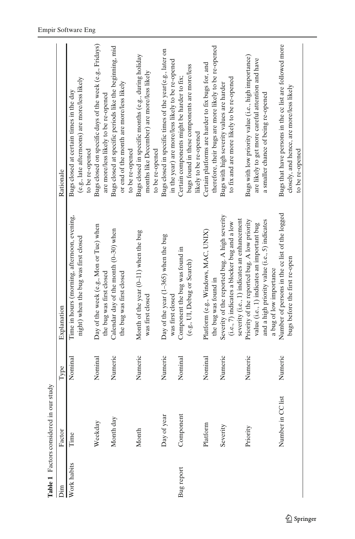<span id="page-6-0"></span>

|             | Table 1 Factors considered in our study |         |                                                                                                                                                                        |                                                                                                                                                  |
|-------------|-----------------------------------------|---------|------------------------------------------------------------------------------------------------------------------------------------------------------------------------|--------------------------------------------------------------------------------------------------------------------------------------------------|
| Dim         | Factor                                  | Type    | Explanation                                                                                                                                                            | Rationale                                                                                                                                        |
| Work habits | Time                                    | Nominal | Time in hours (morning, afternoon, evening,<br>night) when the bug was first closed                                                                                    | (e.g., late afternoons) are more/less likely<br>Bugs closed at certain times in the day<br>to be re-opened                                       |
|             | Weekday                                 | Nominal | Day of the week (e.g., Mon or Tue) when<br>the bug was first closed                                                                                                    | Bugs closed on specific days of the week (e.g., Fridays)<br>are more/less likely to be re-opened                                                 |
|             | Month day                               | Numeric | Calendar day of the month (0-30) when<br>the bug was first closed                                                                                                      | Bugs closed at specific periods like the beginning, mid<br>or end of the month are more/less likely<br>to be re-opened                           |
|             | Month                                   | Numeric | Month of the year (0-11) when the bug<br>was first closed                                                                                                              | Bugs closed in specific months (e.g., during holiday<br>months like December) are more/less likely<br>to be re-opened                            |
|             | Day of year                             | Numeric | Day of the year (1-365) when the bug<br>was first closed                                                                                                               | Bugs closed in specific times of the year(e.g., later on<br>in the year) are more/less likely to be re-opened                                    |
| Bug report  | Component                               | Nominal | Component the bug was found in<br>(e.g., UI, Debug or Search)                                                                                                          | bugs found in these components are more/less<br>Certain components might be harder to fix;<br>likely to be re-opened                             |
|             | Platform                                | Nominal | Platform (e.g., Windows, MAC, UNIX)<br>the bug was found in                                                                                                            | therefore, their bugs are more likely to be re-opened<br>Certain platforms are harder to fix bugs for, and                                       |
|             | Severity                                | Numeric | Severity of the reported bug. A high severity<br>severity (i.e., 1) indicates an enhancement<br>(i.e., 7) indicates a blocker bug and a low                            | to fix and are more likely to be re-opened<br>Bugs with high severity values are harder                                                          |
|             | Priority                                | Numeric | Priority of the reported bug. A low priority<br>and a high priority value (i.e., 5) indicates<br>value (i.e., 1) indicates an important bug<br>a bug of low importance | Bugs with low priority value (i.e., high importance)<br>are likely to get more careful attention and have<br>a smaller chance of being re-opened |
|             | list<br>Number in CC                    | Numeric | Number of persons in the cc list of the logged<br>bugs before the first re-open                                                                                        | Bugs that have persons in the cc list are followed more<br>closely, and hence, are more/less likely<br>to be re-opened                           |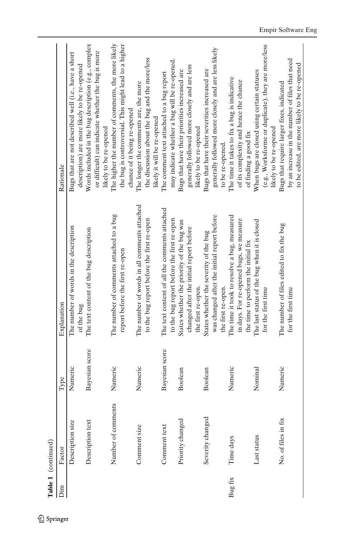|         | Table 1 (continued) |                |                                                                                                                               |                                                                                                                                               |
|---------|---------------------|----------------|-------------------------------------------------------------------------------------------------------------------------------|-----------------------------------------------------------------------------------------------------------------------------------------------|
| Dim     | Factor              | Type           | Explanation                                                                                                                   | Rationale                                                                                                                                     |
|         | Description size    | Numeric        | The number of words in the description<br>of the bug                                                                          | Bugs that are not described well (i.e., have a short<br>description) are more likely to be re-opened                                          |
|         | Description text    | Bayesian score | The text content of the bug description                                                                                       | Words included in the bug description (e.g., complex<br>or difficult) can indicate whether the bug is more<br>likely to be re-opened          |
|         | Number of comments  | Numeric        | The number of comments attached to a bug<br>report before the first re-open                                                   | The higher the number of comments, the more likely<br>the bug is controversial. This might lead to a higher<br>chance of it being re-opened   |
|         | Comment size        | Numeric        | The number of words in all comments attached<br>to the bug report before the first re-open                                    | the discussion about the bug and the more/less<br>The longer the comments are, the more<br>likely it will be re-opened                        |
|         | Comment text        | Bavesian score | The text content of all the comments attached<br>to the bug report before the first re-open                                   | may indicate whether a bug will be re-opened.<br>The comment text attached to a bug report                                                    |
|         | Priority changed    | Boolean        | States whether the priority of the bug was<br>changed after the initial report before<br>the first re-open.                   | generally followed more closely and are less<br>Bugs that have their priorities increased are<br>likely to be re-opened                       |
|         | Severity changed    | <b>Boolean</b> | was changed after the initial report before<br>States whether the severity of the bug<br>the first re-open.                   | generally followed more closely and are less likely<br>Bugs that have their severities increased are<br>to be re-opened.                      |
| Bug fix | Time days           | Numeric        | The time it took to resolve a bug, measured<br>in days. For re-opened bugs, we measure<br>the time to perform the initial fix | The time it takes to fix a bug is indicative<br>of its complexity and hence the chance<br>of finding a good fix                               |
|         | Last status         | Nominal        | The last status of the bug when it is closed<br>for the first time                                                            | (e.g., Worksforme or duplicate), they are more/less<br>When bugs are closed using certain statuses<br>likely to be re-opened                  |
|         | No. of files in fix | Numeric        | The number of files edited to fix the bug<br>for the first time                                                               | by an increase in the number of files that need<br>to be edited, are more likely to be re-opened<br>Bugs that require larger fixes, indicated |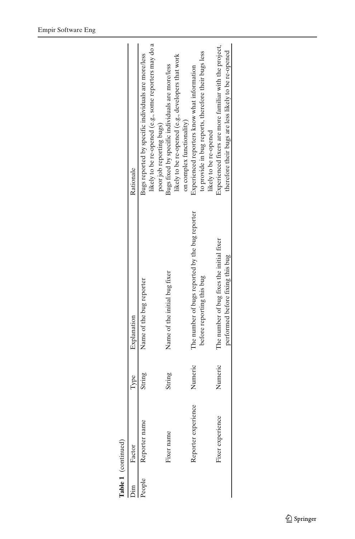| String<br>String<br>Type<br>Reporter experience<br>Fixer experience<br>Reporter name<br>Fixer name<br>Factor<br>eople | The number of bugs reported by the bug reporter<br>The number of bug fixes the initial fixer<br>Name of the initial bug fixer<br>before reporting this bug<br>Name of the bug reporter<br>Explanation<br>Numeric<br>Numeric | likely to be re-opened (e.g., some reporters may do a<br>Experienced fixers are more familiar with the project,<br>to provide in bug reports, therefore their bugs less<br>Bugs reported by specific individuals are more/less<br>likely to be re-opened (e.g., developers that work<br>Bugs fixed by specific individuals are more/less<br>Experienced reporters know what information<br>on complex functionality)<br>poor job reporting bugs)<br>likely to be re-opened<br>Rationale |
|-----------------------------------------------------------------------------------------------------------------------|-----------------------------------------------------------------------------------------------------------------------------------------------------------------------------------------------------------------------------|-----------------------------------------------------------------------------------------------------------------------------------------------------------------------------------------------------------------------------------------------------------------------------------------------------------------------------------------------------------------------------------------------------------------------------------------------------------------------------------------|
|                                                                                                                       | performed before fixing this bug                                                                                                                                                                                            | therefore their bugs are less likely to be re-opened                                                                                                                                                                                                                                                                                                                                                                                                                                    |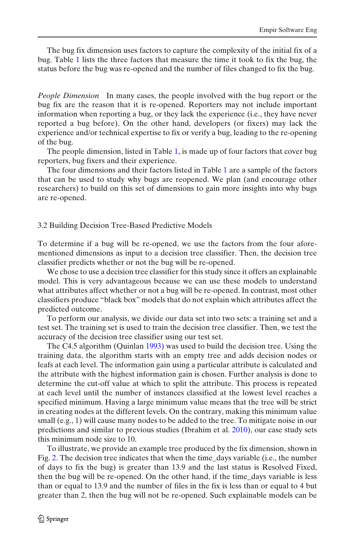The bug fix dimension uses factors to capture the complexity of the initial fix of a bug. Table [1](#page-6-0) lists the three factors that measure the time it took to fix the bug, the status before the bug was re-opened and the number of files changed to fix the bug.

*People Dimension* In many cases, the people involved with the bug report or the bug fix are the reason that it is re-opened. Reporters may not include important information when reporting a bug, or they lack the experience (i.e., they have never reported a bug before). On the other hand, developers (or fixers) may lack the experience and/or technical expertise to fix or verify a bug, leading to the re-opening of the bug.

The people dimension, listed in Table [1,](#page-6-0) is made up of four factors that cover bug reporters, bug fixers and their experience.

The four dimensions and their factors listed in Table [1](#page-6-0) are a sample of the factors that can be used to study why bugs are reopened. We plan (and encourage other researchers) to build on this set of dimensions to gain more insights into why bugs are re-opened.

#### 3.2 Building Decision Tree-Based Predictive Models

To determine if a bug will be re-opened, we use the factors from the four aforementioned dimensions as input to a decision tree classifier. Then, the decision tree classifier predicts whether or not the bug will be re-opened.

We chose to use a decision tree classifier for this study since it offers an explainable model. This is very advantageous because we can use these models to understand what attributes affect whether or not a bug will be re-opened. In contrast, most other classifiers produce "black box" models that do not explain which attributes affect the predicted outcome.

To perform our analysis, we divide our data set into two sets: a training set and a test set. The training set is used to train the decision tree classifier. Then, we test the accuracy of the decision tree classifier using our test set.

The C4.5 algorithm (Quinla[n](#page-32-0) [1993\)](#page-32-0) was used to build the decision tree. Using the training data, the algorithm starts with an empty tree and adds decision nodes or leafs at each level. The information gain using a particular attribute is calculated and the attribute with the highest information gain is chosen. Further analysis is done to determine the cut-off value at which to split the attribute. This process is repeated at each level until the number of instances classified at the lowest level reaches a specified minimum. Having a large minimum value means that the tree will be strict in creating nodes at the different levels. On the contrary, making this minimum value small (e.g., 1) will cause many nodes to be added to the tree. To mitigate noise in our predictions and similar to previous studies (Ibrahim et al[.](#page-32-0) [2010](#page-32-0)), our case study sets this minimum node size to 10.

To illustrate, we provide an example tree produced by the fix dimension, shown in Fig. [2.](#page-10-0) The decision tree indicates that when the time\_days variable (i.e., the number of days to fix the bug) is greater than 13.9 and the last status is Resolved Fixed, then the bug will be re-opened. On the other hand, if the time\_days variable is less than or equal to 13.9 and the number of files in the fix is less than or equal to 4 but greater than 2, then the bug will not be re-opened. Such explainable models can be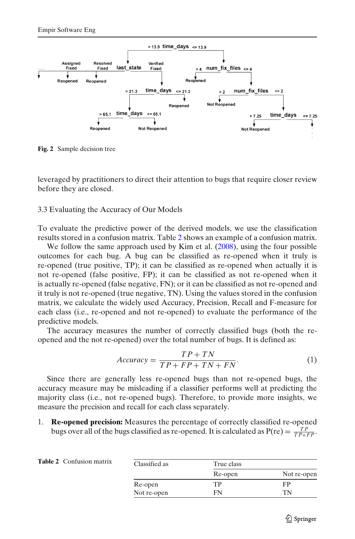<span id="page-10-0"></span>

**Fig. 2** Sample decision tree

leveraged by practitioners to direct their attention to bugs that require closer review before they are closed.

### 3.3 Evaluating the Accuracy of Our Models

To evaluate the predictive power of the derived models, we use the classification results stored in a confusion matrix. Table 2 shows an example of a confusion matrix.

We follow the same approach used by Kim et al[.](#page-32-0) [\(2008\)](#page-32-0), using the four possible outcomes for each bug. A bug can be classified as re-opened when it truly is re-opened (true positive, TP); it can be classified as re-opened when actually it is not re-opened (false positive, FP); it can be classified as not re-opened when it is actually re-opened (false negative, FN); or it can be classified as not re-opened and it truly is not re-opened (true negative, TN). Using the values stored in the confusion matrix, we calculate the widely used Accuracy, Precision, Recall and F-measure for each class (i.e., re-opened and not re-opened) to evaluate the performance of the predictive models.

The accuracy measures the number of correctly classified bugs (both the reopened and the not re-opened) over the total number of bugs. It is defined as:

$$
Accuracy = \frac{TP + TN}{TP + FP + TN + FN}.
$$
 (1)

Since there are generally less re-opened bugs than not re-opened bugs, the accuracy measure may be misleading if a classifier performs well at predicting the majority class (i.e., not re-opened bugs). Therefore, to provide more insights, we measure the precision and recall for each class separately.

1. **Re-opened precision:** Measures the percentage of correctly classified re-opened bugs over all of the bugs classified as re-opened. It is calculated as  $P(re) = \frac{TP}{TP+FP}$ .

| <b>Table 2</b> Confusion matrix | Classified as | True class |             |
|---------------------------------|---------------|------------|-------------|
|                                 |               | Re-open    | Not re-open |
|                                 | Re-open       | TР         | FP          |
|                                 | Not re-open   | FN         | TN          |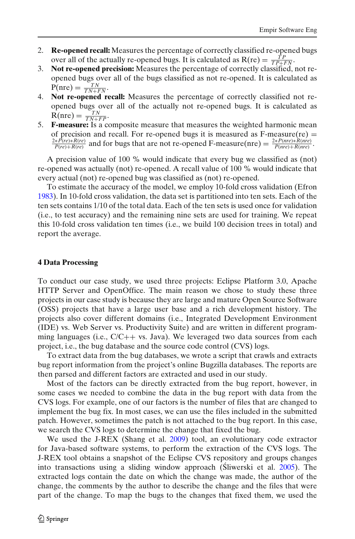- <span id="page-11-0"></span>2. **Re-opened recall:** Measures the percentage of correctly classified re-opened bugs over all of the actually re-opened bugs. It is calculated as  $R(re) = \frac{TP}{TP+FN}$ .
- 3. **Not re-opened precision:** Measures the percentage of correctly classified, not reopened bugs over all of the bugs classified as not re-opened. It is calculated as  $P(nre) = \frac{TN}{TN + FN}$ .
- 4. **Not re-opened recall:** Measures the percentage of correctly classified not reopened bugs over all of the actually not re-opened bugs. It is calculated as  $R(nre) = \frac{TN}{TN+FP}$ .
- 5. **F-measure:** Is a composite measure that measures the weighted harmonic mean of precision and recall. For re-opened bugs it is measured as F-measure(re) =  $\frac{2*P(re)*R(re)}{P(re)+R(re)}$  and for bugs that are not re-opened F-measure(nre) =  $\frac{2*P(nre)*R(nre)}{P(nre)+R(nre)}$ .

A precision value of 100 % would indicate that every bug we classified as (not) re-opened was actually (not) re-opened. A recall value of 100 % would indicate that every actual (not) re-opened bug was classified as (not) re-opened.

To estimate the accuracy of the model, we employ 10-fold cross validation (Efro[n](#page-31-0) [1983\)](#page-31-0). In 10-fold cross validation, the data set is partitioned into ten sets. Each of the ten sets contains 1/10 of the total data. Each of the ten sets is used once for validation (i.e., to test accuracy) and the remaining nine sets are used for training. We repeat this 10-fold cross validation ten times (i.e., we build 100 decision trees in total) and report the average.

# **4 Data Processing**

To conduct our case study, we used three projects: Eclipse Platform 3.0, Apache HTTP Server and OpenOffice. The main reason we chose to study these three projects in our case study is because they are large and mature Open Source Software (OSS) projects that have a large user base and a rich development history. The projects also cover different domains (i.e., Integrated Development Environment (IDE) vs. Web Server vs. Productivity Suite) and are written in different programming languages (i.e.,  $C/C++$  vs. Java). We leveraged two data sources from each project, i.e., the bug database and the source code control (CVS) logs.

To extract data from the bug databases, we wrote a script that crawls and extracts bug report information from the project's online Bugzilla databases. The reports are then parsed and different factors are extracted and used in our study.

Most of the factors can be directly extracted from the bug report, however, in some cases we needed to combine the data in the bug report with data from the CVS logs. For example, one of our factors is the number of files that are changed to implement the bug fix. In most cases, we can use the files included in the submitted patch. However, sometimes the patch is not attached to the bug report. In this case, we search the CVS logs to determine the change that fixed the bug.

We used the J-REX (Shang et al[.](#page-33-0) [2009](#page-33-0)) tool, an evolutionary code extractor for Java-based software systems, to perform the extraction of the CVS logs. The J-REX tool obtains a snapshot of the Eclipse CVS repository and groups changes into transactions using a sliding window approach (Sliwerski et al[.](#page-33-0)  $2005$ ). The extracted logs contain the date on which the change was made, the author of the change, the comments by the author to describe the change and the files that were part of the change. To map the bugs to the changes that fixed them, we used the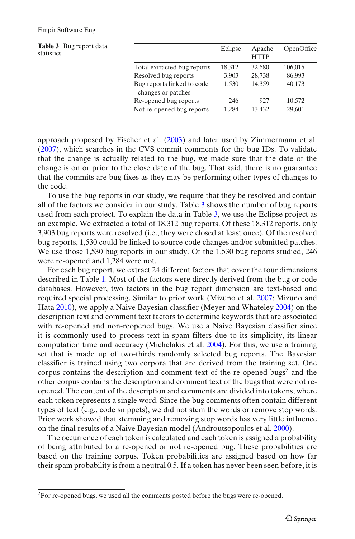<span id="page-12-0"></span>

| <b>Table 3</b> Bug report data<br>statistics |                                                  | Eclipse | Apache<br><b>HTTP</b> | OpenOffice |
|----------------------------------------------|--------------------------------------------------|---------|-----------------------|------------|
|                                              | Total extracted bug reports                      | 18.312  | 32,680                | 106,015    |
|                                              | Resolved bug reports                             | 3,903   | 28,738                | 86,993     |
|                                              | Bug reports linked to code<br>changes or patches | 1.530   | 14.359                | 40,173     |
|                                              | Re-opened bug reports                            | 246     | 927                   | 10.572     |
|                                              | Not re-opened bug reports                        | 1.284   | 13.432                | 29,601     |

approach proposed by Fischer et al[.](#page-31-0) [\(2003\)](#page-31-0) and later used by Zimmermann et al[.](#page-33-0) [\(2007](#page-33-0)), which searches in the CVS commit comments for the bug IDs. To validate that the change is actually related to the bug, we made sure that the date of the change is on or prior to the close date of the bug. That said, there is no guarantee that the commits are bug fixes as they may be performing other types of changes to the code.

To use the bug reports in our study, we require that they be resolved and contain all of the factors we consider in our study. Table 3 shows the number of bug reports used from each project. To explain the data in Table 3, we use the Eclipse project as an example. We extracted a total of 18,312 bug reports. Of these 18,312 reports, only 3,903 bug reports were resolved (i.e., they were closed at least once). Of the resolved bug reports, 1,530 could be linked to source code changes and/or submitted patches. We use those 1,530 bug reports in our study. Of the 1,530 bug reports studied, 246 were re-opened and 1,284 were not.

For each bug report, we extract 24 different factors that cover the four dimensions described in Table [1.](#page-6-0) Most of the factors were directly derived from the bug or code databases. However, two factors in the bug report dimension are text-based and required special processing. Similar to prior work (Mizuno et al[.](#page-32-0) [2007](#page-32-0); Mizuno and Hat[a](#page-32-0) [2010\)](#page-32-0), we apply a Naive Bayesian classifier (Meyer and Whatele[y](#page-32-0) [2004](#page-32-0)) on the description text and comment text factors to determine keywords that are associated with re-opened and non-reopened bugs. We use a Naive Bayesian classifier since it is commonly used to process text in spam filters due to its simplicity, its linear computation time and accuracy (Michelakis et al[.](#page-32-0) [2004\)](#page-32-0). For this, we use a training set that is made up of two-thirds randomly selected bug reports. The Bayesian classifier is trained using two corpora that are derived from the training set. One corpus contains the description and comment text of the re-opened bugs<sup>2</sup> and the other corpus contains the description and comment text of the bugs that were not reopened. The content of the description and comments are divided into tokens, where each token represents a single word. Since the bug comments often contain different types of text (e.g., code snippets), we did not stem the words or remove stop words. Prior work showed that stemming and removing stop words has very little influence on the final results of a Naive Bayesian model (Androutsopoulos et al[.](#page-31-0) [2000](#page-31-0)).

The occurrence of each token is calculated and each token is assigned a probability of being attributed to a re-opened or not re-opened bug. These probabilities are based on the training corpus. Token probabilities are assigned based on how far their spam probability is from a neutral 0.5. If a token has never been seen before, it is

<sup>&</sup>lt;sup>2</sup>For re-opened bugs, we used all the comments posted before the bugs were re-opened.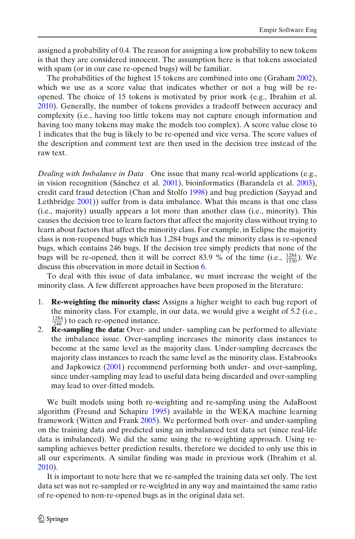assigned a probability of 0.4. The reason for assigning a low probability to new tokens is that they are considered innocent. The assumption here is that tokens associated with spam (or in our case re-opened bugs) will be familiar.

The probabilities of the highest 15 tokens are combined into one (Graha[m](#page-31-0) [2002\)](#page-31-0), which we use as a score value that indicates whether or not a bug will be reopened. The choice of 15 tokens is motivated by prior work (e.g., Ibrahim et al[.](#page-32-0) [2010\)](#page-32-0). Generally, the number of tokens provides a tradeoff between accuracy and complexity (i.e., having too little tokens may not capture enough information and having too many tokens may make the models too complex). A score value close to 1 indicates that the bug is likely to be re-opened and vice versa. The score values of the description and comment text are then used in the decision tree instead of the raw text.

*Dealing with Imbalance in Data* One issue that many real-world applications (e.g., in vision recognition (Sánchez et al[.](#page-33-0) [2001\)](#page-33-0), bioinformatics (Barandela et al[.](#page-31-0) [2003\)](#page-31-0), credit card fraud detection (Chan and Stolf[o](#page-31-0) [1998\)](#page-31-0) and bug prediction (Sayyad and Lethbridg[e](#page-33-0) [2001\)](#page-33-0)) suffer from is data imbalance. What this means is that one class (i.e., majority) usually appears a lot more than another class (i.e., minority). This causes the decision tree to learn factors that affect the majority class without trying to learn about factors that affect the minority class. For example, in Eclipse the majority class is non-reopened bugs which has 1,284 bugs and the minority class is re-opened bugs, which contains 246 bugs. If the decision tree simply predicts that none of the bugs will be re-opened, then it will be correct 83.9 % of the time (i.e.,  $\frac{1284}{1530}$ ). We discuss this observation in more detail in Section [6.](#page-22-0)

To deal with this issue of data imbalance, we must increase the weight of the minority class. A few different approaches have been proposed in the literature:

- 1. **Re-weighting the minority class:** Assigns a higher weight to each bug report of the minority class. For example, in our data, we would give a weight of 5.2 (i.e.,  $\frac{1284}{246}$ ) to each re-opened instance.
- 2. **Re-sampling the data:** Over- and under- sampling can be performed to alleviate the imbalance issue. Over-sampling increases the minority class instances to become at the same level as the majority class. Under-sampling decreases the majority class instances to reach the same level as the minority class. Estabrooks and Japkowic[z](#page-31-0) [\(2001\)](#page-31-0) recommend performing both under- and over-sampling, since under-sampling may lead to useful data being discarded and over-sampling may lead to over-fitted models.

We built models using both re-weighting and re-sampling using the AdaBoost algorithm (Freund and Schapir[e](#page-31-0) [1995\)](#page-31-0) available in the WEKA machine learning framework (Witten and Fran[k](#page-33-0) [2005](#page-33-0)). We performed both over- and under-sampling on the training data and predicted using an imbalanced test data set (since real-life data is imbalanced). We did the same using the re-weighting approach. Using resampling achieves better prediction results, therefore we decided to only use this in all our experiments. A similar finding was made in previous work (Ibrahim et al[.](#page-32-0) [2010\)](#page-32-0).

It is important to note here that we re-sampled the training data set only. The test data set was not re-sampled or re-weighted in any way and maintained the same ratio of re-opened to non-re-opened bugs as in the original data set.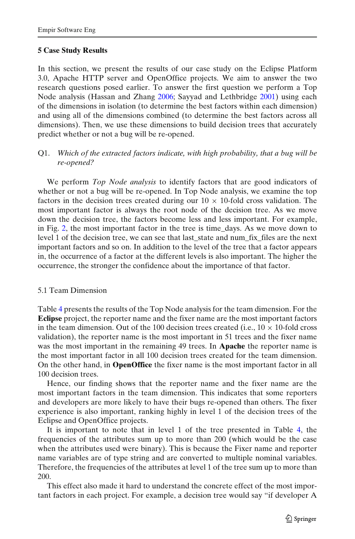### <span id="page-14-0"></span>**5 Case Study Results**

In this section, we present the results of our case study on the Eclipse Platform 3.0, Apache HTTP server and OpenOffice projects. We aim to answer the two research questions posed earlier. To answer the first question we perform a Top Node analysis (Hassan and Zhan[g](#page-32-0) [2006;](#page-32-0) Sayyad and Lethbridg[e](#page-33-0) [2001](#page-33-0)) using each of the dimensions in isolation (to determine the best factors within each dimension) and using all of the dimensions combined (to determine the best factors across all dimensions). Then, we use these dimensions to build decision trees that accurately predict whether or not a bug will be re-opened.

## Q1. *Which of the extracted factors indicate, with high probability, that a bug will be re-opened?*

We perform *Top Node analysis* to identify factors that are good indicators of whether or not a bug will be re-opened. In Top Node analysis, we examine the top factors in the decision trees created during our  $10 \times 10$ -fold cross validation. The most important factor is always the root node of the decision tree. As we move down the decision tree, the factors become less and less important. For example, in Fig. [2,](#page-10-0) the most important factor in the tree is time\_days. As we move down to level 1 of the decision tree, we can see that last\_state and num\_fix\_files are the next important factors and so on. In addition to the level of the tree that a factor appears in, the occurrence of a factor at the different levels is also important. The higher the occurrence, the stronger the confidence about the importance of that factor.

### 5.1 Team Dimension

Table [4](#page-15-0) presents the results of the Top Node analysis for the team dimension. For the **Eclipse** project, the reporter name and the fixer name are the most important factors in the team dimension. Out of the 100 decision trees created (i.e.,  $10 \times 10$ -fold cross validation), the reporter name is the most important in 51 trees and the fixer name was the most important in the remaining 49 trees. In **Apache** the reporter name is the most important factor in all 100 decision trees created for the team dimension. On the other hand, in **OpenOffice** the fixer name is the most important factor in all 100 decision trees.

Hence, our finding shows that the reporter name and the fixer name are the most important factors in the team dimension. This indicates that some reporters and developers are more likely to have their bugs re-opened than others. The fixer experience is also important, ranking highly in level 1 of the decision trees of the Eclipse and OpenOffice projects.

It is important to note that in level 1 of the tree presented in Table [4,](#page-15-0) the frequencies of the attributes sum up to more than 200 (which would be the case when the attributes used were binary). This is because the Fixer name and reporter name variables are of type string and are converted to multiple nominal variables. Therefore, the frequencies of the attributes at level 1 of the tree sum up to more than 200.

This effect also made it hard to understand the concrete effect of the most important factors in each project. For example, a decision tree would say "if developer A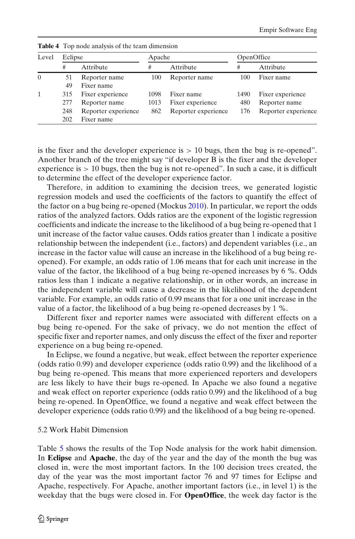| Level    | Eclipse |                     | Apache |                     |      | OpenOffice          |
|----------|---------|---------------------|--------|---------------------|------|---------------------|
|          | #       | Attribute           | #      | Attribute           | #    | Attribute           |
| $\Omega$ | 51      | Reporter name       | 100    | Reporter name       | 100  | Fixer name          |
|          | 49      | Fixer name          |        |                     |      |                     |
| 1        | 315     | Fixer experience    | 1098   | Fixer name          | 1490 | Fixer experience    |
|          | 277     | Reporter name       | 1013   | Fixer experience    | 480  | Reporter name       |
|          | 248     | Reporter experience | 862    | Reporter experience | 176  | Reporter experience |
|          | 202     | Fixer name          |        |                     |      |                     |

<span id="page-15-0"></span>**Table 4** Top node analysis of the team dimension

is the fixer and the developer experience is  $> 10$  bugs, then the bug is re-opened". Another branch of the tree might say "if developer B is the fixer and the developer experience is  $> 10$  bugs, then the bug is not re-opened". In such a case, it is difficult to determine the effect of the developer experience factor.

Therefore, in addition to examining the decision trees, we generated logistic regression models and used the coefficients of the factors to quantify the effect of the factor on a bug being re-opened (Mocku[s](#page-32-0) [2010](#page-32-0)). In particular, we report the odds ratios of the analyzed factors. Odds ratios are the exponent of the logistic regression coefficients and indicate the increase to the likelihood of a bug being re-opened that 1 unit increase of the factor value causes. Odds ratios greater than 1 indicate a positive relationship between the independent (i.e., factors) and dependent variables (i.e., an increase in the factor value will cause an increase in the likelihood of a bug being reopened). For example, an odds ratio of 1.06 means that for each unit increase in the value of the factor, the likelihood of a bug being re-opened increases by 6 %. Odds ratios less than 1 indicate a negative relationship, or in other words, an increase in the independent variable will cause a decrease in the likelihood of the dependent variable. For example, an odds ratio of 0.99 means that for a one unit increase in the value of a factor, the likelihood of a bug being re-opened decreases by 1 %.

Different fixer and reporter names were associated with different effects on a bug being re-opened. For the sake of privacy, we do not mention the effect of specific fixer and reporter names, and only discuss the effect of the fixer and reporter experience on a bug being re-opened.

In Eclipse, we found a negative, but weak, effect between the reporter experience (odds ratio 0.99) and developer experience (odds ratio 0.99) and the likelihood of a bug being re-opened. This means that more experienced reporters and developers are less likely to have their bugs re-opened. In Apache we also found a negative and weak effect on reporter experience (odds ratio 0.99) and the likelihood of a bug being re-opened. In OpenOffice, we found a negative and weak effect between the developer experience (odds ratio 0.99) and the likelihood of a bug being re-opened.

### 5.2 Work Habit Dimension

Table [5](#page-16-0) shows the results of the Top Node analysis for the work habit dimension. In **Eclipse** and **Apache**, the day of the year and the day of the month the bug was closed in, were the most important factors. In the 100 decision trees created, the day of the year was the most important factor 76 and 97 times for Eclipse and Apache, respectively. For Apache, another important factors (i.e., in level 1) is the weekday that the bugs were closed in. For **OpenOffice**, the week day factor is the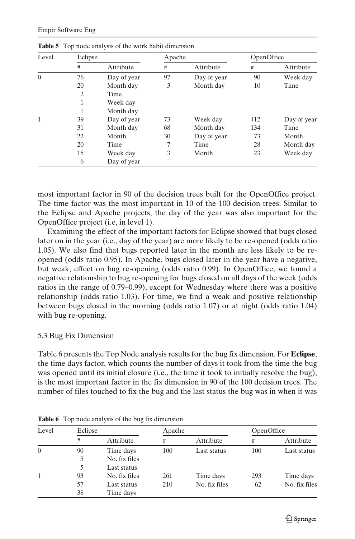| Level    | Eclipse |             | Apache |             | OpenOffice |             |
|----------|---------|-------------|--------|-------------|------------|-------------|
|          | #       | Attribute   | #      | Attribute   | #          | Attribute   |
| $\Omega$ | 76      | Day of year | 97     | Day of year | 90         | Week day    |
|          | 20      | Month day   | 3      | Month day   | 10         | Time        |
|          | 2       | Time        |        |             |            |             |
|          | 1       | Week day    |        |             |            |             |
|          | 1       | Month day   |        |             |            |             |
| 1        | 39      | Day of year | 73     | Week day    | 412        | Day of year |
|          | 31      | Month day   | 68     | Month day   | 134        | Time        |
|          | 22      | Month       | 30     | Day of year | 73         | Month       |
|          | 20      | Time        | 7      | Time        | 28         | Month day   |
|          | 15      | Week day    | 3      | Month       | 23         | Week day    |
|          | 6       | Day of year |        |             |            |             |

<span id="page-16-0"></span>**Table 5** Top node analysis of the work habit dimension

most important factor in 90 of the decision trees built for the OpenOffice project. The time factor was the most important in 10 of the 100 decision trees. Similar to the Eclipse and Apache projects, the day of the year was also important for the OpenOffice project (i.e, in level 1).

Examining the effect of the important factors for Eclipse showed that bugs closed later on in the year (i.e., day of the year) are more likely to be re-opened (odds ratio 1.05). We also find that bugs reported later in the month are less likely to be reopened (odds ratio 0.95). In Apache, bugs closed later in the year have a negative, but weak, effect on bug re-opening (odds ratio 0.99). In OpenOffice, we found a negative relationship to bug re-opening for bugs closed on all days of the week (odds ratios in the range of 0.79–0.99), except for Wednesday where there was a positive relationship (odds ratio 1.03). For time, we find a weak and positive relationship between bugs closed in the morning (odds ratio 1.07) or at night (odds ratio 1.04) with bug re-opening.

# 5.3 Bug Fix Dimension

Table 6 presents the Top Node analysis results for the bug fix dimension. For **Eclipse**, the time days factor, which counts the number of days it took from the time the bug was opened until its initial closure (i.e., the time it took to initially resolve the bug), is the most important factor in the fix dimension in 90 of the 100 decision trees. The number of files touched to fix the bug and the last status the bug was in when it was

| Level          | Eclipse |               | Apache |               | OpenOffice |               |
|----------------|---------|---------------|--------|---------------|------------|---------------|
|                | #       | Attribute     | #      | Attribute     | #          | Attribute     |
| $\overline{0}$ | 90      | Time days     | 100    | Last status   | 100        | Last status   |
|                | 5       | No. fix files |        |               |            |               |
|                | 5       | Last status   |        |               |            |               |
|                | 93      | No. fix files | 261    | Time days     | 293        | Time days     |
|                | 57      | Last status   | 210    | No. fix files | 62         | No. fix files |
|                | 38      | Time days     |        |               |            |               |

**Table 6** Top node analysis of the bug fix dimension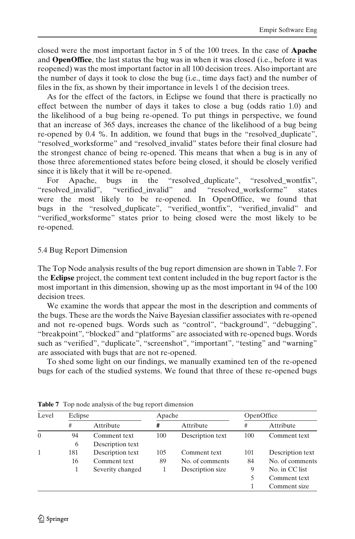closed were the most important factor in 5 of the 100 trees. In the case of **Apache** and **OpenOffice**, the last status the bug was in when it was closed (i.e., before it was reopened) was the most important factor in all 100 decision trees. Also important are the number of days it took to close the bug (i.e., time days fact) and the number of files in the fix, as shown by their importance in levels 1 of the decision trees.

As for the effect of the factors, in Eclipse we found that there is practically no effect between the number of days it takes to close a bug (odds ratio 1.0) and the likelihood of a bug being re-opened. To put things in perspective, we found that an increase of 365 days, increases the chance of the likelihood of a bug being re-opened by 0.4 %. In addition, we found that bugs in the "resolved\_duplicate", "resolved\_worksforme" and "resolved\_invalid" states before their final closure had the strongest chance of being re-opened. This means that when a bug is in any of those three aforementioned states before being closed, it should be closely verified since it is likely that it will be re-opened.

For Apache, bugs in the "resolved\_duplicate", "resolved\_wontfix", esolved\_invalid", "verified\_invalid" and "resolved worksforme" states "resolved\_invalid", "verified\_invalid" and "resolved\_worksforme" states were the most likely to be re-opened. In OpenOffice, we found that bugs in the "resolved\_duplicate", "verified\_wontfix", "verified\_invalid" and "verified\_worksforme" states prior to being closed were the most likely to be re-opened.

# 5.4 Bug Report Dimension

The Top Node analysis results of the bug report dimension are shown in Table 7. For the **Eclipse** project, the comment text content included in the bug report factor is the most important in this dimension, showing up as the most important in 94 of the 100 decision trees.

We examine the words that appear the most in the description and comments of the bugs. These are the words the Naive Bayesian classifier associates with re-opened and not re-opened bugs. Words such as "control", "background", "debugging", "breakpoint", "blocked" and "platforms" are associated with re-opened bugs. Words such as "verified", "duplicate", "screenshot", "important", "testing" and "warning" are associated with bugs that are not re-opened.

To shed some light on our findings, we manually examined ten of the re-opened bugs for each of the studied systems. We found that three of these re-opened bugs

| Level    | Eclipse |                  | Apache |                  | OpenOffice |                  |
|----------|---------|------------------|--------|------------------|------------|------------------|
|          | #       | Attribute        | #      | Attribute        | #          | Attribute        |
| $\Omega$ | 94      | Comment text     | 100    | Description text | 100        | Comment text     |
|          | 6       | Description text |        |                  |            |                  |
| 1        | 181     | Description text | 105    | Comment text     | 101        | Description text |
|          | 16      | Comment text     | 89     | No. of comments  | 84         | No. of comments  |
|          | 1       | Severity changed |        | Description size | 9          | No. in CC list   |
|          |         |                  |        |                  |            | Comment text     |
|          |         |                  |        |                  |            | Comment size     |

**Table 7** Top node analysis of the bug report dimension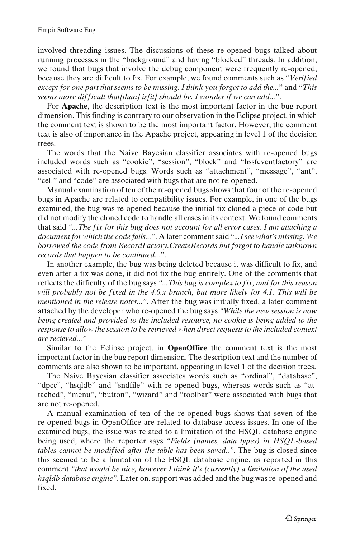involved threading issues. The discussions of these re-opened bugs talked about running processes in the "background" and having "blocked" threads. In addition, we found that bugs that involve the debug component were frequently re-opened, because they are difficult to fix. For example, we found comments such as "*Verif ied except for one part that seems to be missing: I think you forgot to add the...*" and "*This* seems more difficult that[than] is[it] should be. I wonder if we can add...".

For **Apache**, the description text is the most important factor in the bug report dimension. This finding is contrary to our observation in the Eclipse project, in which the comment text is shown to be the most important factor. However, the comment text is also of importance in the Apache project, appearing in level 1 of the decision trees.

The words that the Naive Bayesian classifier associates with re-opened bugs included words such as "cookie", "session", "block" and "hssfeventfactory" are associated with re-opened bugs. Words such as "attachment", "message", "ant", "cell" and "code" are associated with bugs that are not re-opened.

Manual examination of ten of the re-opened bugs shows that four of the re-opened bugs in Apache are related to compatibility issues. For example, in one of the bugs examined, the bug was re-opened because the initial fix cloned a piece of code but did not modify the cloned code to handle all cases in its context. We found comments that said "...The fix for this bug does not account for all error cases. I am attaching a *document for which the code fails...*". A later comment said "*...I see what's missing. We borrowed the code from RecordFactory.CreateRecords but forgot to handle unknown records that happen to be continued...*".

In another example, the bug was being deleted because it was difficult to fix, and even after a fix was done, it did not fix the bug entirely. One of the comments that reflects the difficulty of the bug says "... This bug is complex to fix, and for this reason will probably not be fixed in the 4.0.x branch, but more likely for 4.1. This will be *mentioned in the release notes..."*. After the bug was initially fixed, a later comment attached by the developer who re-opened the bug says *"While the new session is now being created and provided to the included resource, no cookie is being added to the response to allow the session to be retrieved when direct requests to the included context are recieved..."*

Similar to the Eclipse project, in **OpenOffice** the comment text is the most important factor in the bug report dimension. The description text and the number of comments are also shown to be important, appearing in level 1 of the decision trees.

The Naive Bayesian classifier associates words such as "ordinal", "database", "dpcc", "hsqldb" and "sndfile" with re-opened bugs, whereas words such as "attached", "menu", "button", "wizard" and "toolbar" were associated with bugs that are not re-opened.

A manual examination of ten of the re-opened bugs shows that seven of the re-opened bugs in OpenOffice are related to database access issues. In one of the examined bugs, the issue was related to a limitation of the HSQL database engine being used, where the reporter says *"Fields (names, data types) in HSQL-based tables cannot be modif ied after the table has been saved.."*. The bug is closed since this seemed to be a limitation of the HSQL database engine, as reported in this comment *"that would be nice, however I think it's (currently) a limitation of the used hsqldb database engine"*. Later on, support was added and the bug was re-opened and fixed.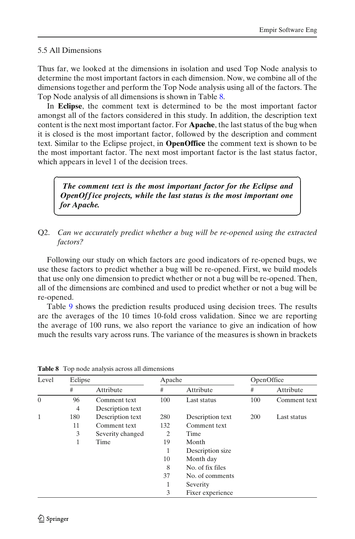**☎**

### 5.5 All Dimensions

**✞**

**T** 

Thus far, we looked at the dimensions in isolation and used Top Node analysis to determine the most important factors in each dimension. Now, we combine all of the dimensions together and perform the Top Node analysis using all of the factors. The Top Node analysis of all dimensions is shown in Table 8.

In **Eclipse**, the comment text is determined to be the most important factor amongst all of the factors considered in this study. In addition, the description text content is the next most important factor. For **Apache**, the last status of the bug when it is closed is the most important factor, followed by the description and comment text. Similar to the Eclipse project, in **OpenOffice** the comment text is shown to be the most important factor. The next most important factor is the last status factor, which appears in level 1 of the decision trees.

*The comment text is the most important factor for the Eclipse and OpenOf f ice projects, while the last status is the most important one for Apache.*

Q2. *Can we accurately predict whether a bug will be re-opened using the extracted factors?*

Following our study on which factors are good indicators of re-opened bugs, we use these factors to predict whether a bug will be re-opened. First, we build models that use only one dimension to predict whether or not a bug will be re-opened. Then, all of the dimensions are combined and used to predict whether or not a bug will be re-opened.

Table [9](#page-20-0) shows the prediction results produced using decision trees. The results are the averages of the 10 times 10-fold cross validation. Since we are reporting the average of 100 runs, we also report the variance to give an indication of how much the results vary across runs. The variance of the measures is shown in brackets

| Level    | Eclipse        |                  | Apache |                  | OpenOffice |              |
|----------|----------------|------------------|--------|------------------|------------|--------------|
|          | #              | Attribute        | #      | Attribute        | #          | Attribute    |
| $\Omega$ | 96             | Comment text     | 100    | Last status      | 100        | Comment text |
|          | $\overline{4}$ | Description text |        |                  |            |              |
| 1        | 180            | Description text | 280    | Description text | 200        | Last status  |
|          | 11             | Comment text     | 132    | Comment text     |            |              |
|          | 3              | Severity changed | 2      | Time             |            |              |
|          | 1              | Time             | 19     | Month            |            |              |
|          |                |                  |        | Description size |            |              |
|          |                |                  | 10     | Month day        |            |              |
|          |                |                  | 8      | No. of fix files |            |              |
|          |                |                  | 37     | No. of comments  |            |              |
|          |                |                  |        | Severity         |            |              |
|          |                |                  | 3      | Fixer experience |            |              |

**Table 8** Top node analysis across all dimensions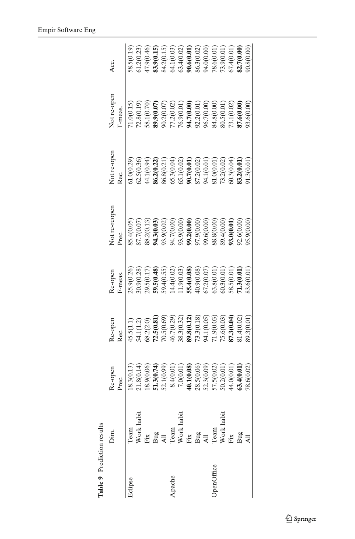<span id="page-20-0"></span>

| Table 9 Prediction results |                                                                                                                                  |                                                                                                                                                                                 |                                                                                                                      |                                                                                                                                                                  |                                                                                                                                                                |                                                                                                |                                                                                                                      |                                                                                              |
|----------------------------|----------------------------------------------------------------------------------------------------------------------------------|---------------------------------------------------------------------------------------------------------------------------------------------------------------------------------|----------------------------------------------------------------------------------------------------------------------|------------------------------------------------------------------------------------------------------------------------------------------------------------------|----------------------------------------------------------------------------------------------------------------------------------------------------------------|------------------------------------------------------------------------------------------------|----------------------------------------------------------------------------------------------------------------------|----------------------------------------------------------------------------------------------|
|                            | Dim.                                                                                                                             | Re-open                                                                                                                                                                         | Re-open                                                                                                              | Re-open                                                                                                                                                          | Not re-reopen                                                                                                                                                  | Not re-open                                                                                    | Not re-open                                                                                                          | Acc.                                                                                         |
|                            |                                                                                                                                  | Prec.                                                                                                                                                                           | Rec.                                                                                                                 | F-meas.                                                                                                                                                          | Prec.                                                                                                                                                          | Rec.                                                                                           | F-meas.                                                                                                              |                                                                                              |
| Eclipse                    | Team                                                                                                                             | 18.3(0.13                                                                                                                                                                       | 15.5(1.1                                                                                                             | 25.9(0.26)                                                                                                                                                       | 85.4(0.05                                                                                                                                                      | 1.0(0.29)                                                                                      | 71.0(0.15)                                                                                                           | 58.5(0.19)                                                                                   |
|                            | Work habit                                                                                                                       | 21.8(0.14)                                                                                                                                                                      | 54.1(1.2)                                                                                                            |                                                                                                                                                                  | \$7.7(0.07)                                                                                                                                                    | 62.5(0.36)                                                                                     | 72.8(0.19)                                                                                                           | 1.2(0.23)                                                                                    |
|                            |                                                                                                                                  |                                                                                                                                                                                 |                                                                                                                      |                                                                                                                                                                  |                                                                                                                                                                |                                                                                                |                                                                                                                      |                                                                                              |
|                            |                                                                                                                                  |                                                                                                                                                                                 |                                                                                                                      |                                                                                                                                                                  |                                                                                                                                                                |                                                                                                |                                                                                                                      | (51.0)(0.46)                                                                                 |
|                            | Fix<br>Bug<br>All<br>Team<br>Team                                                                                                | $\begin{array}{l} 18.9(0.06)\\ \textbf{51.3(0.74)}\\ 52.1(0.99)\\ 8.4(0.01)\\ 7.0(0.01)\\ 7.0(0.01)\\ \textbf{40.1(0.08)}\\ 28.5(0.06)\\ 57.5(0.02)\\ 57.5(0.02)\\ \end{array}$ | 68.2(2.0)<br><b>72.5(0.81)</b><br>70.5(0.69)<br>46.7(0.29)<br>38.3(0.12)<br>38.4.1(0.05)<br>75.5(0.03)<br>71.9(0.03) | $\begin{array}{l} 30.9(0.28)\\ 29.5(0.17)\\ 59.5(0.48)\\ 59.4(0.55)\\ 14.4(0.02)\\ 11.9(0.08)\\ 55.4(0.08)\\ 55.4(0.08)\\ 55.4(0.08)\\ 67.2(0.07)\\ \end{array}$ | $(0.13)$ $(0.013)$ $(0.000)$ $(0.000)$ $(0.000)$ $(0.000)$ $(0.000)$ $(0.000)$ $(0.000)$ $(0.000)$ $(0.000)$ $(0.000)$ $(0.000)$ $(0.000)$ $(0.000)$ $(0.000)$ | 44.1(0.94)<br>86.2(0.22)<br>86.8(0.21)<br>86.8(0.21)<br>86.3(0.02)<br>65.1(0.02)<br>94.1(0.02) | 58.1 (0.70)<br><b>89.9(0.07)</b><br>90.2(0.07)<br>77.2(0.02)<br>76.9(0.01)<br>94.7(0.00)<br>96.7(0.00)<br>96.7(0.00) |                                                                                              |
| Apache                     |                                                                                                                                  |                                                                                                                                                                                 |                                                                                                                      |                                                                                                                                                                  |                                                                                                                                                                |                                                                                                |                                                                                                                      | $84.2(0.15)$<br>$64.1(0.03)$<br>$63.4(0.02)$<br>$90.6(0.01)$<br>$90.6(0.01)$<br>$86.3(0.02)$ |
|                            |                                                                                                                                  |                                                                                                                                                                                 |                                                                                                                      |                                                                                                                                                                  |                                                                                                                                                                |                                                                                                |                                                                                                                      |                                                                                              |
|                            |                                                                                                                                  |                                                                                                                                                                                 |                                                                                                                      |                                                                                                                                                                  |                                                                                                                                                                |                                                                                                |                                                                                                                      |                                                                                              |
|                            |                                                                                                                                  |                                                                                                                                                                                 |                                                                                                                      |                                                                                                                                                                  |                                                                                                                                                                |                                                                                                |                                                                                                                      |                                                                                              |
|                            | $\begin{array}{l} \mathop{\mathrm{Fix}}\nolimits \\ \mathop{\mathrm{Bug}}\nolimits \\ \mathop{\mathrm{Al}}\nolimits \end{array}$ |                                                                                                                                                                                 |                                                                                                                      |                                                                                                                                                                  |                                                                                                                                                                |                                                                                                |                                                                                                                      | 4.0(0.00)                                                                                    |
| penOffice                  | Team                                                                                                                             |                                                                                                                                                                                 |                                                                                                                      |                                                                                                                                                                  |                                                                                                                                                                | 1.0(0.01)                                                                                      |                                                                                                                      | 78.6(0.01                                                                                    |
|                            | Work habit                                                                                                                       |                                                                                                                                                                                 |                                                                                                                      |                                                                                                                                                                  |                                                                                                                                                                | 73.2(0.02)                                                                                     |                                                                                                                      | 73.9(0.01)                                                                                   |
|                            | Fix                                                                                                                              | 4.0(0.01                                                                                                                                                                        | 7.3(0.04)                                                                                                            | 58.5(0.01)                                                                                                                                                       | 93.0(0.01)                                                                                                                                                     | (0.3(0.04))                                                                                    | 73.1(0.02)                                                                                                           | 57.4(0.01)                                                                                   |
|                            | Bug                                                                                                                              | 3.4(0.01                                                                                                                                                                        | 1.4(0.02)                                                                                                            | 1.3(0.01)                                                                                                                                                        | 2.6(0.00)                                                                                                                                                      | 33.2(0.01)                                                                                     | \$7.6(0.00)                                                                                                          | 2.7(0.00                                                                                     |
|                            |                                                                                                                                  | 78.6(0.02                                                                                                                                                                       | 9.3(0.01                                                                                                             | 33.6(0.01                                                                                                                                                        | 5.9(0.00                                                                                                                                                       | 1.3(0.01                                                                                       | 3.6(0.00)                                                                                                            | 0.8(0.00                                                                                     |
|                            |                                                                                                                                  |                                                                                                                                                                                 |                                                                                                                      |                                                                                                                                                                  |                                                                                                                                                                |                                                                                                |                                                                                                                      |                                                                                              |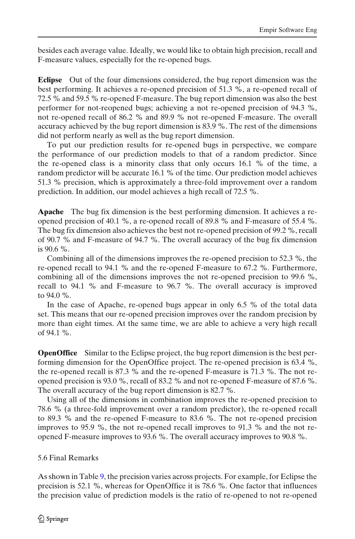besides each average value. Ideally, we would like to obtain high precision, recall and F-measure values, especially for the re-opened bugs.

**Eclipse** Out of the four dimensions considered, the bug report dimension was the best performing. It achieves a re-opened precision of 51.3 %, a re-opened recall of 72.5 % and 59.5 % re-opened F-measure. The bug report dimension was also the best performer for not-reopened bugs; achieving a not re-opened precision of 94.3 %, not re-opened recall of 86.2 % and 89.9 % not re-opened F-measure. The overall accuracy achieved by the bug report dimension is 83.9 %. The rest of the dimensions did not perform nearly as well as the bug report dimension.

To put our prediction results for re-opened bugs in perspective, we compare the performance of our prediction models to that of a random predictor. Since the re-opened class is a minority class that only occurs 16.1 % of the time, a random predictor will be accurate 16.1 % of the time. Our prediction model achieves 51.3 % precision, which is approximately a three-fold improvement over a random prediction. In addition, our model achieves a high recall of 72.5 %.

**Apache** The bug fix dimension is the best performing dimension. It achieves a reopened precision of 40.1 %, a re-opened recall of 89.8 % and F-measure of 55.4 %. The bug fix dimension also achieves the best not re-opened precision of 99.2 %, recall of 90.7 % and F-measure of 94.7 %. The overall accuracy of the bug fix dimension is 90.6 %.

Combining all of the dimensions improves the re-opened precision to 52.3 %, the re-opened recall to 94.1 % and the re-opened F-measure to 67.2 %. Furthermore, combining all of the dimensions improves the not re-opened precision to 99.6 %, recall to 94.1 % and F-measure to 96.7 %. The overall accuracy is improved to 94.0 %.

In the case of Apache, re-opened bugs appear in only 6.5 % of the total data set. This means that our re-opened precision improves over the random precision by more than eight times. At the same time, we are able to achieve a very high recall of 94.1 %.

**OpenOffice** Similar to the Eclipse project, the bug report dimension is the best performing dimension for the OpenOffice project. The re-opened precision is 63.4 %, the re-opened recall is 87.3 % and the re-opened F-measure is 71.3 %. The not reopened precision is 93.0 %, recall of 83.2 % and not re-opened F-measure of 87.6 %. The overall accuracy of the bug report dimension is 82.7 %.

Using all of the dimensions in combination improves the re-opened precision to 78.6 % (a three-fold improvement over a random predictor), the re-opened recall to 89.3 % and the re-opened F-measure to 83.6 %. The not re-opened precision improves to 95.9 %, the not re-opened recall improves to 91.3 % and the not reopened F-measure improves to 93.6 %. The overall accuracy improves to 90.8 %.

# 5.6 Final Remarks

As shown in Table [9,](#page-20-0) the precision varies across projects. For example, for Eclipse the precision is 52.1 %, whereas for OpenOffice it is 78.6 %. One factor that influences the precision value of prediction models is the ratio of re-opened to not re-opened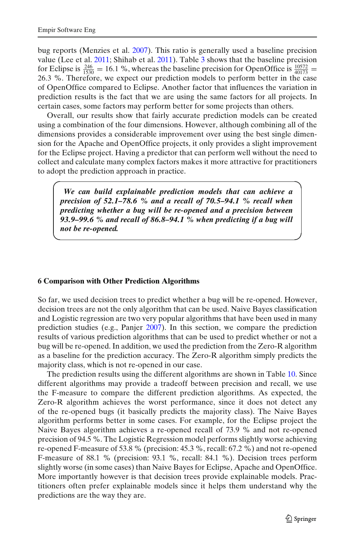**✍**

<span id="page-22-0"></span>bug reports (Menzies et al[.](#page-32-0) [2007](#page-32-0)). This ratio is generally used a baseline precision value (Lee et al[.](#page-33-0) [2011;](#page-32-0) Shihab et al. [2011\)](#page-33-0). Table [3](#page-12-0) shows that the baseline precision for Eclipse is  $\frac{246}{1530} = 16.1$  %, whereas the baseline precision for OpenOffice is  $\frac{10572}{40173} =$ 26.3 %. Therefore, we expect our prediction models to perform better in the case of OpenOffice compared to Eclipse. Another factor that influences the variation in prediction results is the fact that we are using the same factors for all projects. In certain cases, some factors may perform better for some projects than others.

Overall, our results show that fairly accurate prediction models can be created using a combination of the four dimensions. However, although combining all of the dimensions provides a considerable improvement over using the best single dimension for the Apache and OpenOffice projects, it only provides a slight improvement for the Eclipse project. Having a predictor that can perform well without the need to collect and calculate many complex factors makes it more attractive for practitioners to adopt the prediction approach in practice.

**✎** *We can build explainable prediction models that can achieve a precision of 52.1–78.6 % and a recall of 70.5–94.1 % recall when predicting whether a bug will be re-opened and a precision between 93.9–99.6 % and recall of 86.8–94.1 % when predicting if a bug will not be re-opened.*

#### **6 Comparison with Other Prediction Algorithms**

So far, we used decision trees to predict whether a bug will be re-opened. However, decision trees are not the only algorithm that can be used. Naive Bayes classification and Logistic regression are two very popular algorithms that have been used in many prediction studies (e.g., Panje[r](#page-32-0) [2007](#page-32-0)). In this section, we compare the prediction results of various prediction algorithms that can be used to predict whether or not a bug will be re-opened. In addition, we used the prediction from the Zero-R algorithm as a baseline for the prediction accuracy. The Zero-R algorithm simply predicts the majority class, which is not re-opened in our case.

The prediction results using the different algorithms are shown in Table [10.](#page-23-0) Since different algorithms may provide a tradeoff between precision and recall, we use the F-measure to compare the different prediction algorithms. As expected, the Zero-R algorithm achieves the worst performance, since it does not detect any of the re-opened bugs (it basically predicts the majority class). The Naive Bayes algorithm performs better in some cases. For example, for the Eclipse project the Naive Bayes algorithm achieves a re-opened recall of 73.9 % and not re-opened precision of 94.5 %. The Logistic Regression model performs slightly worse achieving re-opened F-measure of 53.8 % (precision: 45.3 %, recall: 67.2 %) and not re-opened F-measure of 88.1 % (precision: 93.1 %, recall: 84.1 %). Decision trees perform slightly worse (in some cases) than Naive Bayes for Eclipse, Apache and OpenOffice. More importantly however is that decision trees provide explainable models. Practitioners often prefer explainable models since it helps them understand why the predictions are the way they are.

**☞**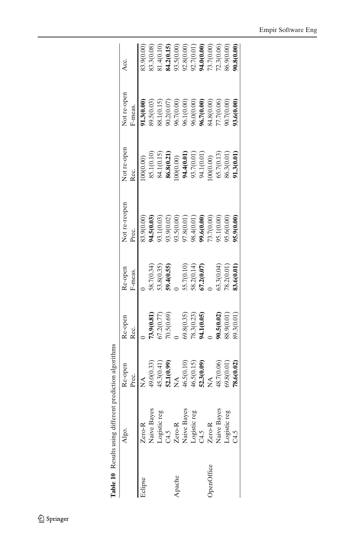<span id="page-23-0"></span>

|            | Table 10 Results using different                                  | prediction algorithms                             |                                          |                                               |                                                                                                       |                                                                                                                                                                                         |                                                                                                                                                                                           |                                                                                                              |
|------------|-------------------------------------------------------------------|---------------------------------------------------|------------------------------------------|-----------------------------------------------|-------------------------------------------------------------------------------------------------------|-----------------------------------------------------------------------------------------------------------------------------------------------------------------------------------------|-------------------------------------------------------------------------------------------------------------------------------------------------------------------------------------------|--------------------------------------------------------------------------------------------------------------|
|            | Algo.                                                             | Re-open<br>Prec.                                  | Re-open<br>Rec.                          | Re-open<br>F-meas.                            | Not re-reopen<br>Prec.                                                                                | Not re-oper<br>Rec.                                                                                                                                                                     | Not re-open<br>F-meas.                                                                                                                                                                    | Acc.                                                                                                         |
| Eclipse    | Naive Bayes<br>Zero-R                                             | 19.0(0.33<br>≸                                    | 73.9(0.81                                | 58.7(0.34)                                    |                                                                                                       | 0(0.00)                                                                                                                                                                                 | 1.3(0.00)                                                                                                                                                                                 | 83.9(0.00                                                                                                    |
|            | Logistic reg<br>C4.5                                              | 45.3(0.41)<br><b>52.1(0.99)</b>                   | 57.2(0.77)<br>70.5(0.69)                 | 53.8(0.35)<br><b>59.4(0.55)</b>               | 83.9(0.00)<br><b>94.5(0.03)</b><br>93.1(0.03)<br>93.5(0.00)<br>93.5(0.01)<br>93.4(0.01)<br>99.6(0.00) | $\begin{array}{l} 85.1(0.10) \\ 84.1(0.15) \\ 86.8(0.21) \\ 100(0.00) \\ 94.4(0.01) \\ 93.7(0.01) \\ 94.1(0.01) \\ 94.1(0.01) \\ 65.7(0.13) \\ 66.7(0.13) \\ 86.3(0.01) \\ \end{array}$ | $\begin{array}{l} 89.5(0.3)\\ 88.1(0.15)\\ 88.1(0.15)\\ 90.2(0.07)\\ 96.7(0.00)\\ 96.1(0.00)\\ 96.0(0.00)\\ 96.7(0.00)\\ 96.7(0.00)\\ 84.8(0.00)\\ 71.7(0.06)\\ 77.7(0.06)\\ \end{array}$ | 83.3(0.08)<br>81.4(0.10)<br><b>84.2(0.15)</b><br>93.5(0.00)<br>92.7(0.01)<br>92.7(0.00)<br><b>94.0(0.00)</b> |
| Apache     | Naive Bayes<br>Zero-R                                             | NA                                                |                                          |                                               |                                                                                                       |                                                                                                                                                                                         |                                                                                                                                                                                           |                                                                                                              |
|            | $\begin{array}{c} \text{Logistic reg} \\ \text{C4.5} \end{array}$ | $46.5(0.10)$<br>$46.5(0.15)$<br><b>52.3(0.09)</b> | $69.8(0.35)$<br>78.3(0.23)<br>94.1(0.05) | 55.7(0.10)<br>58.2(0.14)<br><b>67.2(0.07)</b> |                                                                                                       |                                                                                                                                                                                         |                                                                                                                                                                                           |                                                                                                              |
| OpenOffice | Naive Bayes<br>Zero-R                                             | 48.7(0.06<br>$\sum$                               | 0.5(0.02)                                |                                               | 35.1(0.00)                                                                                            |                                                                                                                                                                                         |                                                                                                                                                                                           | 72.3(0.06)                                                                                                   |
|            | Logistic reg<br>C4.5                                              | 78.6(0.02<br>9.8(0.0)                             | 88.9(0.01<br>89.3(0.01                   | 53.3(0.04)<br>78.2(0.01)<br>3.6(0.01          | 0.00.00<br>5.9(0.00)                                                                                  | 1.3(0.01)                                                                                                                                                                               | 0.00000<br>3.6(0.00                                                                                                                                                                       | 0.8(0.00)<br>86.9(0.00                                                                                       |
|            |                                                                   |                                                   |                                          |                                               |                                                                                                       |                                                                                                                                                                                         |                                                                                                                                                                                           |                                                                                                              |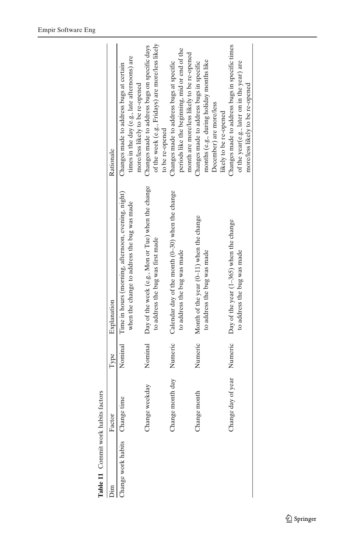<span id="page-24-0"></span>

| Table 11 Commit work habits factors |                        |         |                                                                                                   |                                                                                                                                           |
|-------------------------------------|------------------------|---------|---------------------------------------------------------------------------------------------------|-------------------------------------------------------------------------------------------------------------------------------------------|
|                                     | Factor                 | Type    | Explanation                                                                                       | Rationale                                                                                                                                 |
| Thange work habits Change time      |                        | Nominal | Time in hours (morning, afternoon, evening, night)<br>when the change to address the bug was made | times in the day (e.g., late afternoons) are<br>Changes made to address bugs at certain<br>more/less likely to be re-opened               |
|                                     | Change weekday         | Nominal | Day of the week (e.g., Mon or Tue) when the change<br>to address the bug was first made           | of the week (e.g., Fridays) are more/less likely<br>Changes made to address bugs on specific days<br>to be re-opened                      |
|                                     | Change month day       | Numeric | Calendar day of the month (0-30) when the change<br>to address the bug was made                   | periods like the beginning, mid or end of the<br>month are more/less likely to be re-opened<br>Changes made to address bugs at specific   |
|                                     | Change month           | Numeric | Month of the year (0-11) when the change<br>to address the bug was made                           | months (e.g., during holiday months like<br>Changes made to address bugs in specific<br>December) are more/less<br>likely to be re-opened |
|                                     | ay of year<br>Change d | Numeric | Day of the year (1-365) when the change<br>to address the bug was made                            | Changes made to address bugs in specific times<br>of the year(e.g., later on in the year) are<br>more/less likely to be re-opened         |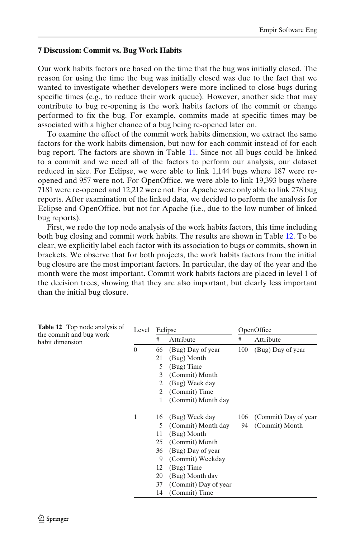### **7 Discussion: Commit vs. Bug Work Habits**

Our work habits factors are based on the time that the bug was initially closed. The reason for using the time the bug was initially closed was due to the fact that we wanted to investigate whether developers were more inclined to close bugs during specific times (e.g., to reduce their work queue). However, another side that may contribute to bug re-opening is the work habits factors of the commit or change performed to fix the bug. For example, commits made at specific times may be associated with a higher chance of a bug being re-opened later on.

To examine the effect of the commit work habits dimension, we extract the same factors for the work habits dimension, but now for each commit instead of for each bug report. The factors are shown in Table [11.](#page-24-0) Since not all bugs could be linked to a commit and we need all of the factors to perform our analysis, our dataset reduced in size. For Eclipse, we were able to link 1,144 bugs where 187 were reopened and 957 were not. For OpenOffice, we were able to link 19,393 bugs where 7181 were re-opened and 12,212 were not. For Apache were only able to link 278 bug reports. After examination of the linked data, we decided to perform the analysis for Eclipse and OpenOffice, but not for Apache (i.e., due to the low number of linked bug reports).

First, we redo the top node analysis of the work habits factors, this time including both bug closing and commit work habits. The results are shown in Table 12. To be clear, we explicitly label each factor with its association to bugs or commits, shown in brackets. We observe that for both projects, the work habits factors from the initial bug closure are the most important factors. In particular, the day of the year and the month were the most important. Commit work habits factors are placed in level 1 of the decision trees, showing that they are also important, but clearly less important than the initial bug closure.

| <b>Table 12</b> Top node analysis of       | Level          |    | Eclipse              |     | OpenOffice           |
|--------------------------------------------|----------------|----|----------------------|-----|----------------------|
| the commit and bug work<br>habit dimension |                | #  | Attribute            | #   | Attribute            |
|                                            | $\overline{0}$ | 66 | (Bug) Day of year    | 100 | (Bug) Day of year    |
|                                            |                | 21 | (Bug) Month          |     |                      |
|                                            |                | 5  | (Bug) Time           |     |                      |
|                                            |                | 3  | (Commit) Month       |     |                      |
|                                            |                | 2  | (Bug) Week day       |     |                      |
|                                            |                | 2  | (Commit) Time        |     |                      |
|                                            |                |    | (Commit) Month day   |     |                      |
|                                            | 1              | 16 | (Bug) Week day       | 106 | (Commit) Day of year |
|                                            |                | 5  | (Commit) Month day   | 94  | (Commit) Month       |
|                                            |                | 11 | (Bug) Month          |     |                      |
|                                            |                | 25 | (Commit) Month       |     |                      |
|                                            |                | 36 | (Bug) Day of year    |     |                      |
|                                            |                | 9  | (Commit) Weekday     |     |                      |
|                                            |                | 12 | (Bug) Time           |     |                      |
|                                            |                | 20 | (Bug) Month day      |     |                      |
|                                            |                | 37 | (Commit) Day of year |     |                      |
|                                            |                | 14 | (Commit) Time        |     |                      |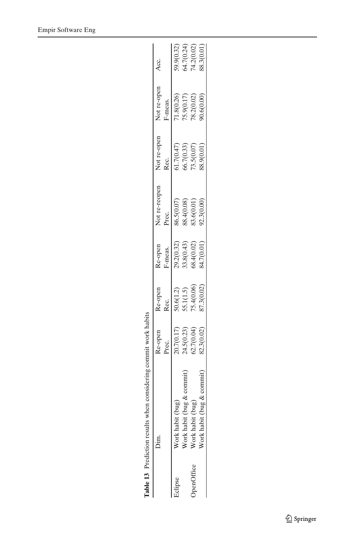<span id="page-26-0"></span>

|                   | Table 13 Prediction results when | considering commit work habits |                        |                    |                       |                     |                          |                          |
|-------------------|----------------------------------|--------------------------------|------------------------|--------------------|-----------------------|---------------------|--------------------------|--------------------------|
|                   | .<br>Fim                         | Re-open<br>Prec.               | Re-open<br>leς.        | Re-open<br>F-meas. | Vot re-reopen<br>rec. | Not re-open<br>₹ec. | Not re-open<br>F-meas.   | Acc.                     |
| Eclipse           | Work habit (bug)                 | 0.7(0.17)                      |                        | 29.2(0.32)         | 6.5(0.07)             | 51.7(0.47)          |                          |                          |
|                   | Nork habit (bug & commit         | 4.5(0.23                       | 50.6(1.2)<br>55.1(1.5) | 33.8(0.43)         | 88.4(0.08)            | 56.7(0.33)          | 71.8(0.26)<br>75.9(0.17) | 59.9(0.32)<br>64.7(0.24) |
| <b>OpenOffice</b> | Vork habit (bug)                 | 2.7(0.04)                      | 75.4(0.06)             | 68.4(0.02)         | 3.6(0.01              | 73.5(0.07)          | 78.2(0.02)               | 74.2(0.02)               |
|                   | $&$ commi<br>Work habit (bug     | 82.3(0.02)                     | 87.3(0.02)             | 4.7(0.01)          | 2.3(0.00)             | 88.9(0.01)          | 0.6(0.00)                | 88.3(0.01)               |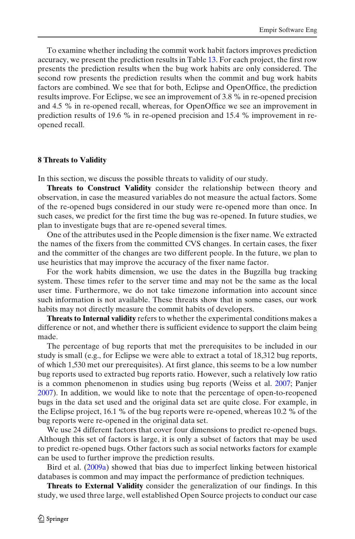<span id="page-27-0"></span>To examine whether including the commit work habit factors improves prediction accuracy, we present the prediction results in Table [13.](#page-26-0) For each project, the first row presents the prediction results when the bug work habits are only considered. The second row presents the prediction results when the commit and bug work habits factors are combined. We see that for both, Eclipse and OpenOffice, the prediction results improve. For Eclipse, we see an improvement of 3.8 % in re-opened precision and 4.5 % in re-opened recall, whereas, for OpenOffice we see an improvement in prediction results of 19.6 % in re-opened precision and 15.4 % improvement in reopened recall.

#### **8 Threats to Validity**

In this section, we discuss the possible threats to validity of our study.

**Threats to Construct Validity** consider the relationship between theory and observation, in case the measured variables do not measure the actual factors. Some of the re-opened bugs considered in our study were re-opened more than once. In such cases, we predict for the first time the bug was re-opened. In future studies, we plan to investigate bugs that are re-opened several times.

One of the attributes used in the People dimension is the fixer name. We extracted the names of the fixers from the committed CVS changes. In certain cases, the fixer and the committer of the changes are two different people. In the future, we plan to use heuristics that may improve the accuracy of the fixer name factor.

For the work habits dimension, we use the dates in the Bugzilla bug tracking system. These times refer to the server time and may not be the same as the local user time. Furthermore, we do not take timezone information into account since such information is not available. These threats show that in some cases, our work habits may not directly measure the commit habits of developers.

**Threats to Internal validity** refers to whether the experimental conditions makes a difference or not, and whether there is sufficient evidence to support the claim being made.

The percentage of bug reports that met the prerequisites to be included in our study is small (e.g., for Eclipse we were able to extract a total of 18,312 bug reports, of which 1,530 met our prerequisites). At first glance, this seems to be a low number bug reports used to extracted bug reports ratio. However, such a relatively low ratio is a common phenomenon in studies using bug reports (Weiss et al[.](#page-33-0) [2007;](#page-33-0) Panje[r](#page-32-0) [2007\)](#page-32-0). In addition, we would like to note that the percentage of open-to-reopened bugs in the data set used and the original data set are quite close. For example, in the Eclipse project, 16.1 % of the bug reports were re-opened, whereas 10.2 % of the bug reports were re-opened in the original data set.

We use 24 different factors that cover four dimensions to predict re-opened bugs. Although this set of factors is large, it is only a subset of factors that may be used to predict re-opened bugs. Other factors such as social networks factors for example can be used to further improve the prediction results.

Bird et al[.](#page-31-0) [\(2009a](#page-31-0)) showed that bias due to imperfect linking between historical databases is common and may impact the performance of prediction techniques.

**Threats to External Validity** consider the generalization of our findings. In this study, we used three large, well established Open Source projects to conduct our case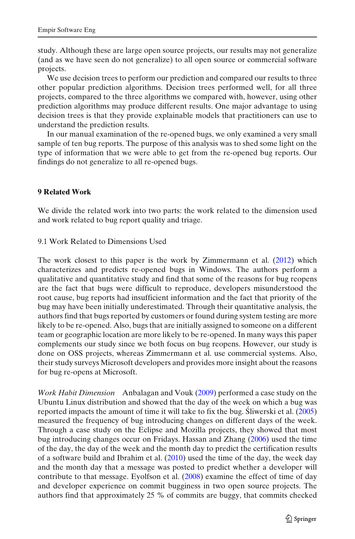<span id="page-28-0"></span>study. Although these are large open source projects, our results may not generalize (and as we have seen do not generalize) to all open source or commercial software projects.

We use decision trees to perform our prediction and compared our results to three other popular prediction algorithms. Decision trees performed well, for all three projects, compared to the three algorithms we compared with, however, using other prediction algorithms may produce different results. One major advantage to using decision trees is that they provide explainable models that practitioners can use to understand the prediction results.

In our manual examination of the re-opened bugs, we only examined a very small sample of ten bug reports. The purpose of this analysis was to shed some light on the type of information that we were able to get from the re-opened bug reports. Our findings do not generalize to all re-opened bugs.

### **9 Related Work**

We divide the related work into two parts: the work related to the dimension used and work related to bug report quality and triage.

### 9.1 Work Related to Dimensions Used

The work closest to this paper is the work by Zimmermann et al[.](#page-33-0) [\(2012](#page-33-0)) which characterizes and predicts re-opened bugs in Windows. The authors perform a qualitative and quantitative study and find that some of the reasons for bug reopens are the fact that bugs were difficult to reproduce, developers misunderstood the root cause, bug reports had insufficient information and the fact that priority of the bug may have been initially underestimated. Through their quantitative analysis, the authors find that bugs reported by customers or found during system testing are more likely to be re-opened. Also, bugs that are initially assigned to someone on a different team or geographic location are more likely to be re-opened. In many ways this paper complements our study since we both focus on bug reopens. However, our study is done on OSS projects, whereas Zimmermann et al. use commercial systems. Also, their study surveys Microsoft developers and provides more insight about the reasons for bug re-opens at Microsoft.

*Work Habit Dimension* Anbalagan and Vou[k](#page-31-0) [\(2009](#page-31-0)) performed a case study on the Ubuntu Linux distribution and showed that the day of the week on which a bug was reported impacts the amount of time it will take to fix the bug[.](#page-33-0) Sliwerski et al.  $(2005)$  $(2005)$ measured the frequency of bug introducing changes on different days of the week. Through a case study on the Eclipse and Mozilla projects, they showed that most bug introducing changes occur on Fridays. Hassan and Zhan[g](#page-32-0) [\(2006\)](#page-32-0) used the time of the day, the day of the week and the month day to predict the certification results of a software build and Ibrahim et al[.](#page-32-0) [\(2010](#page-32-0)) used the time of the day, the week day and the month day that a message was posted to predict whether a developer will contribute to that message[.](#page-31-0) Eyolfson et al. [\(2008\)](#page-31-0) examine the effect of time of day and developer experience on commit bugginess in two open source projects. The authors find that approximately 25 % of commits are buggy, that commits checked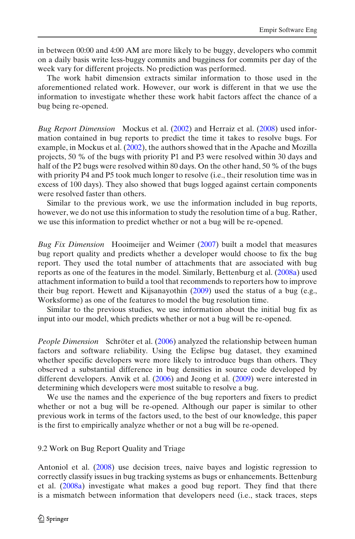in between 00:00 and 4:00 AM are more likely to be buggy, developers who commit on a daily basis write less-buggy commits and bugginess for commits per day of the week vary for different projects. No prediction was performed.

The work habit dimension extracts similar information to those used in the aforementioned related work. However, our work is different in that we use the information to investigate whether these work habit factors affect the chance of a bug being re-opened.

*Bug Report Dimension* Mockus et al[.](#page-32-0) [\(2002](#page-32-0)) and Herraiz et al[.](#page-32-0) [\(2008\)](#page-32-0) used information contained in bug reports to predict the time it takes to resolve bugs. For example, in Mockus et al[.](#page-32-0) [\(2002\)](#page-32-0), the authors showed that in the Apache and Mozilla projects, 50 % of the bugs with priority P1 and P3 were resolved within 30 days and half of the P2 bugs were resolved within 80 days. On the other hand, 50 % of the bugs with priority P4 and P5 took much longer to resolve (i.e., their resolution time was in excess of 100 days). They also showed that bugs logged against certain components were resolved faster than others.

Similar to the previous work, we use the information included in bug reports, however, we do not use this information to study the resolution time of a bug. Rather, we use this information to predict whether or not a bug will be re-opened.

*Bug Fix Dimension* Hooimeijer and Weime[r](#page-32-0) [\(2007](#page-32-0)) built a model that measures bug report quality and predicts whether a developer would choose to fix the bug report. They used the total number of attachments that are associated with bug reports as one of the features in the model. Similarly, Bettenburg et al[.](#page-31-0) [\(2008a](#page-31-0)) used attachment information to build a tool that recommends to reporters how to improve their bug report. Hewett and Kijsanayothi[n](#page-32-0) [\(2009](#page-32-0)) used the status of a bug (e.g., Worksforme) as one of the features to model the bug resolution time.

Similar to the previous studies, we use information about the initial bug fix as input into our model, which predicts whether or not a bug will be re-opened.

*People Dimension* Schröter et al[.](#page-33-0) [\(2006](#page-33-0)) analyzed the relationship between human factors and software reliability. Using the Eclipse bug dataset, they examined whether specific developers were more likely to introduce bugs than others. They observed a substantial difference in bug densities in source code developed by different developers. Anvik et al[.](#page-31-0) [\(2006\)](#page-31-0) and Jeong et al[.](#page-32-0) [\(2009\)](#page-32-0) were interested in determining which developers were most suitable to resolve a bug.

We use the names and the experience of the bug reporters and fixers to predict whether or not a bug will be re-opened. Although our paper is similar to other previous work in terms of the factors used, to the best of our knowledge, this paper is the first to empirically analyze whether or not a bug will be re-opened.

#### 9.2 Work on Bug Report Quality and Triage

Antoniol et al[.](#page-31-0) [\(2008](#page-31-0)) use decision trees, naive bayes and logistic regression to correctly classify issues in bug tracking systems as bugs or enhancements. Bettenburg et al[.](#page-31-0) [\(2008a](#page-31-0)) investigate what makes a good bug report. They find that there is a mismatch between information that developers need (i.e., stack traces, steps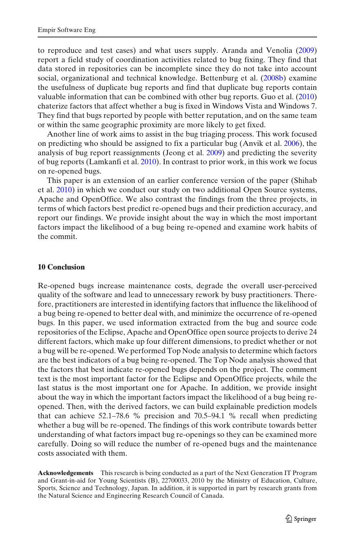<span id="page-30-0"></span>to reproduce and test cases) and what users supply. Aranda and Venoli[a](#page-31-0) [\(2009\)](#page-31-0) report a field study of coordination activities related to bug fixing. They find that data stored in repositories can be incomplete since they do not take into account social, organizational and technical knowledge[.](#page-31-0) Bettenburg et al. [\(2008b\)](#page-31-0) examine the usefulness of duplicate bug reports and find that duplicate bug reports contain valuable information that can be combined with other bug reports. Guo et al[.](#page-32-0) [\(2010\)](#page-32-0) chaterize factors that affect whether a bug is fixed in Windows Vista and Windows 7. They find that bugs reported by people with better reputation, and on the same team or within the same geographic proximity are more likely to get fixed.

Another line of work aims to assist in the bug triaging process. This work focused on predicting who should be assigned to fix a particular bug (Anvik et al[.](#page-31-0) [2006\)](#page-31-0), the analysis of bug report reassignments (Jeong et al[.](#page-32-0) [2009\)](#page-32-0) and predicting the severity of bug reports (Lamkanfi et al[.](#page-32-0) [2010](#page-32-0)). In contrast to prior work, in this work we focus on re-opened bugs.

This paper is an extension of an earlier conference version of the paper (Shihab et al[.](#page-33-0) [2010](#page-33-0)) in which we conduct our study on two additional Open Source systems, Apache and OpenOffice. We also contrast the findings from the three projects, in terms of which factors best predict re-opened bugs and their prediction accuracy, and report our findings. We provide insight about the way in which the most important factors impact the likelihood of a bug being re-opened and examine work habits of the commit.

### **10 Conclusion**

Re-opened bugs increase maintenance costs, degrade the overall user-perceived quality of the software and lead to unnecessary rework by busy practitioners. Therefore, practitioners are interested in identifying factors that influence the likelihood of a bug being re-opened to better deal with, and minimize the occurrence of re-opened bugs. In this paper, we used information extracted from the bug and source code repositories of the Eclipse, Apache and OpenOffice open source projects to derive 24 different factors, which make up four different dimensions, to predict whether or not a bug will be re-opened. We performed Top Node analysis to determine which factors are the best indicators of a bug being re-opened. The Top Node analysis showed that the factors that best indicate re-opened bugs depends on the project. The comment text is the most important factor for the Eclipse and OpenOffice projects, while the last status is the most important one for Apache. In addition, we provide insight about the way in which the important factors impact the likelihood of a bug being reopened. Then, with the derived factors, we can build explainable prediction models that can achieve 52.1–78.6 % precision and 70.5–94.1 % recall when predicting whether a bug will be re-opened. The findings of this work contribute towards better understanding of what factors impact bug re-openings so they can be examined more carefully. Doing so will reduce the number of re-opened bugs and the maintenance costs associated with them.

**Acknowledgements** This research is being conducted as a part of the Next Generation IT Program and Grant-in-aid for Young Scientists (B), 22700033, 2010 by the Ministry of Education, Culture, Sports, Science and Technology, Japan. In addition, it is supported in part by research grants from the Natural Science and Engineering Research Council of Canada.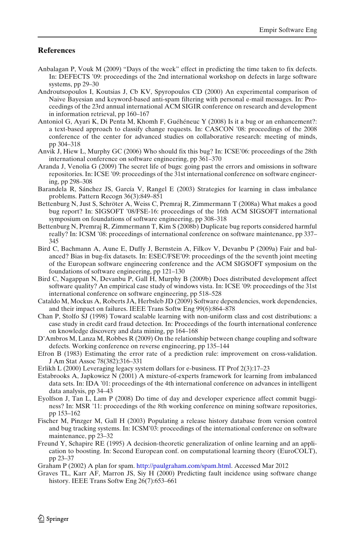# <span id="page-31-0"></span>**References**

- Anbalagan P, Vouk M (2009) "Days of the week" effect in predicting the time taken to fix defects. In: DEFECTS '09: proceedings of the 2nd international workshop on defects in large software systems, pp 29–30
- Androutsopoulos I, Koutsias J, Cb KV, Spyropoulos CD (2000) An experimental comparison of Naive Bayesian and keyword-based anti-spam filtering with personal e-mail messages. In: Proceedings of the 23rd annual international ACM SIGIR conference on research and development in information retrieval, pp 160–167
- Antoniol G, Ayari K, Di Penta M, Khomh F, Guéhéneuc Y (2008) Is it a bug or an enhancement?: a text-based approach to classify change requests. In: CASCON '08: proceedings of the 2008 conference of the center for advanced studies on collaborative research: meeting of minds, pp 304–318
- Anvik J, Hiew L, Murphy GC (2006) Who should fix this bug? In: ICSE'06: proceedings of the 28th international conference on software engineering, pp 361–370
- Aranda J, Venolia G (2009) The secret life of bugs: going past the errors and omissions in software repositories. In: ICSE '09: proceedings of the 31st international conference on software engineering, pp 298–308
- Barandela R, Sánchez JS, García V, Rangel E (2003) Strategies for learning in class imbalance problems. Pattern Recogn 36(3):849–851
- Bettenburg N, Just S, Schröter A, Weiss C, Premraj R, Zimmermann T (2008a) What makes a good bug report? In: SIGSOFT '08/FSE-16: proceedings of the 16th ACM SIGSOFT international symposium on foundations of software engineering, pp 308–318
- Bettenburg N, Premraj R, Zimmermann T, Kim S (2008b) Duplicate bug reports considered harmful really? In: ICSM '08: proceedings of international conference on software maintenance, pp 337– 345
- Bird C, Bachmann A, Aune E, Duffy J, Bernstein A, Filkov V, Devanbu P (2009a) Fair and balanced? Bias in bug-fix datasets. In: ESEC/FSE'09: proceedings of the the seventh joint meeting of the European software engineering conference and the ACM SIGSOFT symposium on the foundations of software engineering, pp 121–130
- Bird C, Nagappan N, Devanbu P, Gall H, Murphy B (2009b) Does distributed development affect software quality? An empirical case study of windows vista. In: ICSE '09: proceedings of the 31st international conference on software engineering, pp 518–528
- Cataldo M, Mockus A, Roberts JA, Herbsleb JD (2009) Software dependencies, work dependencies, and their impact on failures. IEEE Trans Softw Eng 99(6):864–878
- Chan P, Stolfo SJ (1998) Toward scalable learning with non-uniform class and cost distributions: a case study in credit card fraud detection. In: Proceedings of the fourth international conference on knowledge discovery and data mining, pp 164–168
- D'Ambros M, Lanza M, Robbes R (2009) On the relationship between change coupling and software defects. Working conference on reverse engineering, pp 135–144
- Efron B (1983) Estimating the error rate of a prediction rule: improvement on cross-validation. J Am Stat Assoc 78(382):316–331
- Erlikh L (2000) Leveraging legacy system dollars for e-business. IT Prof 2(3):17–23
- Estabrooks A, Japkowicz N (2001) A mixture-of-experts framework for learning from imbalanced data sets. In: IDA '01: proceedings of the 4th international conference on advances in intelligent data analysis, pp 34–43
- Eyolfson J, Tan L, Lam P (2008) Do time of day and developer experience affect commit bugginess? In: MSR '11: proceedings of the 8th working conference on mining software repositories, pp 153–162
- Fischer M, Pinzger M, Gall H (2003) Populating a release history database from version control and bug tracking systems. In: ICSM'03: proceedings of the international conference on software maintenance, pp 23–32
- Freund Y, Schapire RE (1995) A decision-theoretic generalization of online learning and an application to boosting. In: Second European conf. on computational learning theory (EuroCOLT), pp 23–37
- Graham P (2002) A plan for spam. [http://paulgraham.com/spam.html.](http://paulgraham.com/spam.html) Accessed Mar 2012
- Graves TL, Karr AF, Marron JS, Siy H (2000) Predicting fault incidence using software change history. IEEE Trans Softw Eng 26(7):653–661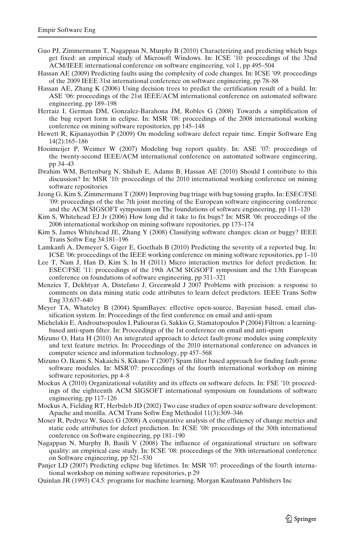- <span id="page-32-0"></span>Guo PJ, Zimmermann T, Nagappan N, Murphy B (2010) Characterizing and predicting which bugs get fixed: an empirical study of Microsoft Windows. In: ICSE '10: proceedings of the 32nd ACM/IEEE international conference on software engineering, vol 1, pp 495–504
- Hassan AE (2009) Predicting faults using the complexity of code changes. In: ICSE '09: proceedings of the 2009 IEEE 31st international conference on software engineering, pp 78–88
- Hassan AE, Zhang K (2006) Using decision trees to predict the certification result of a build. In: ASE '06: proceedings of the 21st IEEE/ACM international conference on automated software engineering, pp 189–198
- Herraiz I, German DM, Gonzalez-Barahona JM, Robles G (2008) Towards a simplification of the bug report form in eclipse. In: MSR '08: proceedings of the 2008 international working conference on mining software repositories, pp 145–148
- Hewett R, Kijsanayothin P (2009) On modeling software defect repair time. Empir Software Eng 14(2):165–186
- Hooimeijer P, Weimer W (2007) Modeling bug report quality. In: ASE '07: proceedings of the twenty-second IEEE/ACM international conference on automated software engineering, pp 34–43
- Ibrahim WM, Bettenburg N, Shihab E, Adams B, Hassan AE (2010) Should I contribute to this discussion? In: MSR '10: proceedings of the 2010 international working conference on mining software repositories
- Jeong G, Kim S, Zimmermann T (2009) Improving bug triage with bug tossing graphs. In: ESEC/FSE '09: proceedings of the the 7th joint meeting of the European software engineering conference and the ACM SIGSOFT symposium on The foundations of software engineering, pp 111–120
- Kim S, Whitehead EJ Jr (2006) How long did it take to fix bugs? In: MSR '06: proceedings of the 2006 international workshop on mining software repositories, pp 173–174
- Kim S, James Whitehead JE, Zhang Y (2008) Classifying software changes: clean or buggy? IEEE Trans Softw Eng 34:181–196
- Lamkanfi A, Demeyer S, Giger E, Goethals B (2010) Predicting the severity of a reported bug. In: ICSE '06: proceedings of the IEEE working conference on mining software repositories, pp 1–10
- Lee T, Nam J, Han D, Kim S, In H (2011) Micro interaction metrics for defect prediction. In: ESEC/FSE '11: proceedings of the 19th ACM SIGSOFT symposium and the 13th European conference on foundations of software engineering, pp 311–321
- Menzies T, Dekhtyar A, Distefano J, Greenwald J 2007 Problems with precision: a response to comments on data mining static code attributes to learn defect predictors. IEEE Trans Softw Eng 33:637–640
- Meyer TA, Whateley B (2004) SpamBayes: effective open-source, Bayesian based, email classification system. In: Proceedings of the first conference on email and anti-spam
- Michelakis E, Androutsopoulos I, Paliouras G, Sakkis G, Stamatopoulos P (2004) Filtron: a learningbased anti-spam filter. In: Proceedings of the 1st conference on email and anti-spam
- Mizuno O, Hata H (2010) An integrated approach to detect fault-prone modules using complexity and text feature metrics. In: Proceedings of the 2010 international conference on advances in computer science and information technology, pp 457–568
- Mizuno O, Ikami S, Nakaichi S, Kikuno T (2007) Spam filter based approach for finding fault-prone software modules. In: MSR'07: proceedings of the fourth international workshop on mining software repositories, pp 4–8
- Mockus A (2010) Organizational volatility and its effects on software defects. In: FSE '10: proceedings of the eighteenth ACM SIGSOFT international symposium on foundations of software engineering, pp 117–126
- Mockus A, Fielding RT, Herbsleb JD (2002) Two case studies of open source software development: Apache and mozilla. ACM Trans Softw Eng Methodol 11(3):309–346
- Moser R, Pedrycz W, Succi G (2008) A comparative analysis of the efficiency of change metrics and static code attributes for defect prediction. In: ICSE '08: proceedings of the 30th international conference on Software engineering, pp 181–190
- Nagappan N, Murphy B, Basili V (2008) The influence of organizational structure on software quality: an empirical case study. In: ICSE '08: proceedings of the 30th international conference on Software engineering, pp 521–530
- Panjer LD (2007) Predicting eclipse bug lifetimes. In: MSR '07: proceedings of the fourth international workshop on mining software repositories, p 29
- Quinlan JR (1993) C4.5: programs for machine learning. Morgan Kaufmann Publishers Inc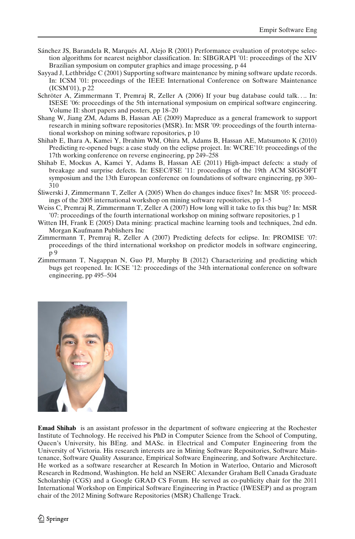- <span id="page-33-0"></span>Sánchez JS, Barandela R, Marqués AI, Alejo R (2001) Performance evaluation of prototype selection algorithms for nearest neighbor classification. In: SIBGRAPI '01: proceedings of the XIV Brazilian symposium on computer graphics and image processing, p 44
- Sayyad J, Lethbridge C (2001) Supporting software maintenance by mining software update records. In: ICSM '01: proceedings of the IEEE International Conference on Software Maintenance (ICSM'01), p 22
- Schröter A, Zimmermann T, Premraj R, Zeller A (2006) If your bug database could talk.... In: ISESE '06: proceedings of the 5th international symposium on empirical software engineering. Volume II: short papers and posters, pp 18–20
- Shang W, Jiang ZM, Adams B, Hassan AE (2009) Mapreduce as a general framework to support research in mining software repositories (MSR). In: MSR '09: proceedings of the fourth international workshop on mining software repositories, p 10
- Shihab E, Ihara A, Kamei Y, Ibrahim WM, Ohira M, Adams B, Hassan AE, Matsumoto K (2010) Predicting re-opened bugs: a case study on the eclipse project. In: WCRE'10: proceedings of the 17th working conference on reverse engineering, pp 249–258
- Shihab E, Mockus A, Kamei Y, Adams B, Hassan AE (2011) High-impact defects: a study of breakage and surprise defects. In: ESEC/FSE '11: proceedings of the 19th ACM SIGSOFT symposium and the 13th European conference on foundations of software engineering, pp 300– 310
- Sliwerski J, Zimmermann T, Zeller A (2005) When do changes induce fixes? In: MSR '05: proceed- ´ ings of the 2005 international workshop on mining software repositories, pp 1–5
- Weiss C, Premraj R, Zimmermann T, Zeller A (2007) How long will it take to fix this bug? In: MSR '07: proceedings of the fourth international workshop on mining software repositories, p 1
- Witten IH, Frank E (2005) Data mining: practical machine learning tools and techniques, 2nd edn. Morgan Kaufmann Publishers Inc
- Zimmermann T, Premraj R, Zeller A (2007) Predicting defects for eclipse. In: PROMISE '07: proceedings of the third international workshop on predictor models in software engineering, p 9
- Zimmermann T, Nagappan N, Guo PJ, Murphy B (2012) Characterizing and predicting which bugs get reopened. In: ICSE '12: proceedings of the 34th international conference on software engineering, pp 495–504



**Emad Shihab** is an assistant professor in the department of software engieering at the Rochester Institute of Technology. He received his PhD in Computer Science from the School of Computing, Queen's University, his BEng. and MASc. in Electrical and Computer Engineering from the University of Victoria. His research interests are in Mining Software Repositories, Software Maintenance, Software Quality Assurance, Empirical Software Engineering, and Software Architecture. He worked as a software researcher at Research In Motion in Waterloo, Ontario and Microsoft Research in Redmond, Washington. He held an NSERC Alexander Graham Bell Canada Graduate Scholarship (CGS) and a Google GRAD CS Forum. He served as co-publicity chair for the 2011 International Workshop on Empirical Software Engineering in Practice (IWESEP) and as program chair of the 2012 Mining Software Repositories (MSR) Challenge Track.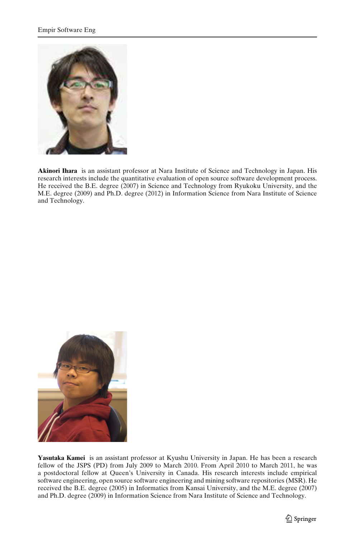

**Akinori Ihara** is an assistant professor at Nara Institute of Science and Technology in Japan. His research interests include the quantitative evaluation of open source software development process. He received the B.E. degree (2007) in Science and Technology from Ryukoku University, and the M.E. degree (2009) and Ph.D. degree (2012) in Information Science from Nara Institute of Science and Technology.



**Yasutaka Kamei** is an assistant professor at Kyushu University in Japan. He has been a research fellow of the JSPS (PD) from July 2009 to March 2010. From April 2010 to March 2011, he was a postdoctoral fellow at Queen's University in Canada. His research interests include empirical software engineering, open source software engineering and mining software repositories (MSR). He received the B.E. degree (2005) in Informatics from Kansai University, and the M.E. degree (2007) and Ph.D. degree (2009) in Information Science from Nara Institute of Science and Technology.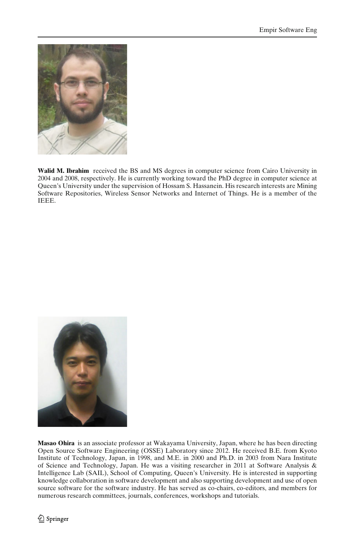

**Walid M. Ibrahim** received the BS and MS degrees in computer science from Cairo University in 2004 and 2008, respectively. He is currently working toward the PhD degree in computer science at Queen's University under the supervision of Hossam S. Hassanein. His research interests are Mining Software Repositories, Wireless Sensor Networks and Internet of Things. He is a member of the IEEE.



**Masao Ohira** is an associate professor at Wakayama University, Japan, where he has been directing Open Source Software Engineering (OSSE) Laboratory since 2012. He received B.E. from Kyoto Institute of Technology, Japan, in 1998, and M.E. in 2000 and Ph.D. in 2003 from Nara Institute of Science and Technology, Japan. He was a visiting researcher in 2011 at Software Analysis & Intelligence Lab (SAIL), School of Computing, Queen's University. He is interested in supporting knowledge collaboration in software development and also supporting development and use of open source software for the software industry. He has served as co-chairs, co-editors, and members for numerous research committees, journals, conferences, workshops and tutorials.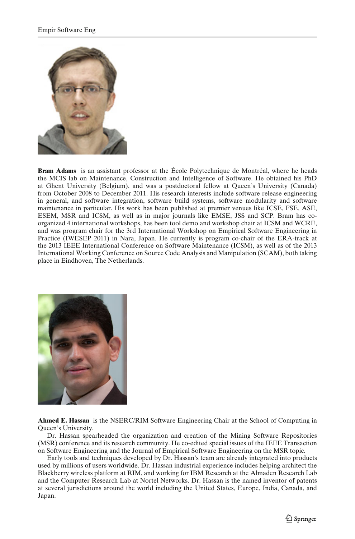

**Bram Adams** is an assistant professor at the École Polytechnique de Montréal, where he heads the MCIS lab on Maintenance, Construction and Intelligence of Software. He obtained his PhD at Ghent University (Belgium), and was a postdoctoral fellow at Queen's University (Canada) from October 2008 to December 2011. His research interests include software release engineering in general, and software integration, software build systems, software modularity and software maintenance in particular. His work has been published at premier venues like ICSE, FSE, ASE, ESEM, MSR and ICSM, as well as in major journals like EMSE, JSS and SCP. Bram has coorganized 4 international workshops, has been tool demo and workshop chair at ICSM and WCRE, and was program chair for the 3rd International Workshop on Empirical Software Engineering in Practice (IWESEP 2011) in Nara, Japan. He currently is program co-chair of the ERA-track at the 2013 IEEE International Conference on Software Maintenance (ICSM), as well as of the 2013 International Working Conference on Source Code Analysis and Manipulation (SCAM), both taking place in Eindhoven, The Netherlands.



**Ahmed E. Hassan** is the NSERC/RIM Software Engineering Chair at the School of Computing in Queen's University.

Dr. Hassan spearheaded the organization and creation of the Mining Software Repositories (MSR) conference and its research community. He co-edited special issues of the IEEE Transaction on Software Engineering and the Journal of Empirical Software Engineering on the MSR topic.

Early tools and techniques developed by Dr. Hassan's team are already integrated into products used by millions of users worldwide. Dr. Hassan industrial experience includes helping architect the Blackberry wireless platform at RIM, and working for IBM Research at the Almaden Research Lab and the Computer Research Lab at Nortel Networks. Dr. Hassan is the named inventor of patents at several jurisdictions around the world including the United States, Europe, India, Canada, and Japan.